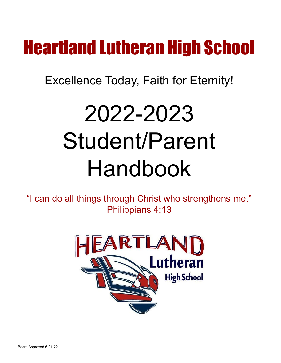## Heartland Lutheran High School

### Excellence Today, Faith for Eternity!

# 2022-2023 Student/Parent Handbook

"I can do all things through Christ who strengthens me." Philippians 4:13



Board Approved 6-21-22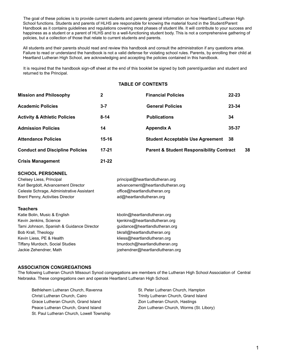The goal of these policies is to provide current students and parents general information on how Heartland Lutheran High School functions. Students and parents of HLHS are responsible for knowing the material found in the Student/Parent Handbook as it contains guidelines and regulations covering most phases of student life. It will contribute to your success and happiness as a student or a parent of HLHS and to a well-functioning student body. This is not a comprehensive gathering of policies, but a collection of those that relate to current students and parents.

All students and their parents should read and review this handbook and consult the administration if any questions arise. Failure to read or understand the handbook is not a valid defense for violating school rules. Parents, by enrolling their child at Heartland Lutheran High School, are acknowledging and accepting the policies contained in this handbook.

It is required that the handbook sign-off sheet at the end of this booklet be signed by both parent/guardian and student and returned to the Principal.

#### **TABLE OF CONTENTS**

| <b>Mission and Philosophy</b>           | $\mathbf{2}$ | <b>Financial Policies</b>                           | $22 - 23$ |    |
|-----------------------------------------|--------------|-----------------------------------------------------|-----------|----|
| <b>Academic Policies</b>                | $3 - 7$      | <b>General Policies</b>                             | 23-34     |    |
| <b>Activity &amp; Athletic Policies</b> | $8 - 14$     | <b>Publications</b>                                 | 34        |    |
| <b>Admission Policies</b>               | 14           | <b>Appendix A</b>                                   | $35 - 37$ |    |
| <b>Attendance Policies</b>              | 15-16        | <b>Student Acceptable Use Agreement</b>             | - 38      |    |
| <b>Conduct and Discipline Policies</b>  | $17 - 21$    | <b>Parent &amp; Student Responsibility Contract</b> |           | 38 |
| <b>Crisis Management</b>                | 21-22        |                                                     |           |    |

#### **SCHOOL PERSONNEL**

Chelsey Liess, Principal **principal** principal@heartlandlutheran.org Karl Bergdolt, Advancement Director advancement@heartlandlutheran.org Celeste Schrage, Administrative Assistant office@heartlandlutheran.org Brent Penny, Activities Director and ad@heartlandlutheran.org

#### **Teachers**

| Katie Bolin, Music & English              | kbolin@heartlandlutheran.org     |
|-------------------------------------------|----------------------------------|
| Kevin Jenkins, Science                    | kjenkins@heartlandlutheran.org   |
| Tami Johnson, Spanish & Guidance Director | guidance@heartlandlutheran.org   |
| Bob Krall, Theology                       | bkrall@heartlandlutheran.org     |
| Kevin Liess, PE & Health                  | kliess@heartlandlutheran.org     |
| <b>Tiffany Murdoch, Social Studies</b>    | tmurdoch@heartlandlutheran.org   |
| Jackie Zehendner, Math                    | jzehendner@heartlandlutheran.org |

#### **ASSOCIATION CONGREGATIONS**

The following Lutheran Church Missouri Synod congregations are members of the Lutheran High School Association of Central Nebraska. These congregations own and operate Heartland Lutheran High School.

Bethlehem Lutheran Church, Ravenna Christ Lutheran Church, Cairo Grace Lutheran Church, Grand Island Peace Lutheran Church, Grand Island St. Paul Lutheran Church, Lowell Township St. Peter Lutheran Church, Hampton Trinity Lutheran Church, Grand Island Zion Lutheran Church, Hastings Zion Lutheran Church, Worms (St. Libory)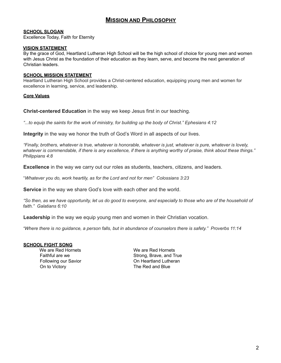#### **MISSION AND PHILOSOPHY**

#### **SCHOOL SLOGAN**

Excellence Today, Faith for Eternity

#### **VISION STATEMENT**

By the grace of God, Heartland Lutheran High School will be the high school of choice for young men and women with Jesus Christ as the foundation of their education as they learn, serve, and become the next generation of Christian leaders.

#### **SCHOOL MISSION STATEMENT**

Heartland Lutheran High School provides a Christ-centered education, equipping young men and women for excellence in learning, service, and leadership.

#### **Core Values**

**Christ-centered Education** in the way we keep Jesus first in our teaching.

to equip the saints for the work of ministry, for building up the body of Christ." Ephesians 4:12.

**Integrity** in the way we honor the truth of God's Word in all aspects of our lives.

"Finally, brothers, whatever is true, whatever is honorable, whatever is just, whatever is pure, whatever is lovely, whatever is commendable, if there is any excellence, if there is anything worthy of praise, think about these things." *Philippians 4:8*

**Excellence** in the way we carry out our roles as students, teachers, citizens, and leaders.

"*Whatever you do, work heartily, as for the Lord and not for men" Colossians 3:23*

**Service** in the way we share God's love with each other and the world.

"So then, as we have opportunity, let us do good to everyone, and especially to those who are of the household of *faith." Galatians 6:10*

**Leadership** in the way we equip young men and women in their Christian vocation.

"Where there is no guidance, a person falls, but in abundance of counselors there is safety." Proverbs 11:14

#### **SCHOOL FIGHT SONG**

We are Red Hornets We are Red Hornets On to Victory **The Red and Blue** 

Faithful are we Strong, Brave, and True Following our Savior **Connective Connective Connective Connective Connective Connection**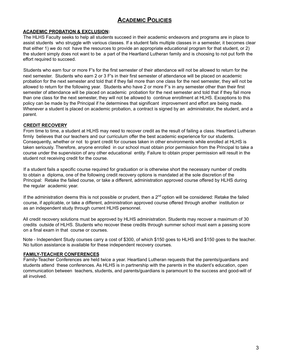#### **ACADEMIC POLICIES**

#### **ACADEMIC PROBATION & EXCLUSION:**

The HLHS Faculty seeks to help all students succeed in their academic endeavors and programs are in place to assist students who struggle with various classes. If a student fails multiple classes in a semester, it becomes clear that either 1) we do not have the resources to provide an appropriate educational program for that student, or 2) the student simply does not want to be a part of the Heartland Lutheran family and is choosing to not put forth the effort required to succeed.

Students who earn four or more F's for the first semester of their attendance will not be allowed to return for the next semester. Students who earn 2 or 3 F's in their first semester of attendance will be placed on academic probation for the next semester and told that if they fail more than one class for the next semester, they will not be allowed to return for the following year. Students who have 2 or more F's in any semester other than their first semester of attendance will be placed on academic probation for the next semester and told that if they fail more than one class for the next semester, they will not be allowed to continue enrollment at HLHS. Exceptions to this policy can be made by the Principal if he determines that significant improvement and effort are being made. Whenever a student is placed on academic probation, a contract is signed by an administrator, the student, and a parent.

#### **CREDIT RECOVERY**

From time to time, a student at HLHS may need to recover credit as the result of failing a class. Heartland Lutheran firmly believes that our teachers and our curriculum offer the best academic experience for our students. Consequently, whether or not to grant credit for courses taken in other environments while enrolled at HLHS is taken seriously. Therefore, anyone enrolled in our school must obtain prior permission from the Principal to take a course under the supervision of any other educational entity. Failure to obtain proper permission will result in the student not receiving credit for the course.

If a student fails a specific course required for graduation or is otherwise short the necessary number of credits to obtain a diploma, one of the following credit recovery options is mandated at the sole discretion of the Principal: Retake the failed course, or take a different, administration approved course offered by HLHS during the regular academic year.

If the administration deems this is not possible or prudent, then a 2<sup>nd</sup> option will be considered: Retake the failed course, if applicable, or take a different, administration approved course offered through another institution or as an independent study through current HLHS personnel.

All credit recovery solutions must be approved by HLHS administration. Students may recover a maximum of 30 credits outside of HLHS. Students who recover these credits through summer school must earn a passing score on a final exam in that course or courses.

Note - Independent Study courses carry a cost of \$300, of which \$150 goes to HLHS and \$150 goes to the teacher. No tuition assistance is available for these independent recovery courses.

#### **FAMILY-TEACHER CONFERENCES**

Family-Teacher Conferences are held twice a year. Heartland Lutheran requests that the parents/guardians and students attend these conferences. As HLHS is in partnership with the parents in the student's education, open communication between teachers, students, and parents/guardians is paramount to the success and good-will of all involved.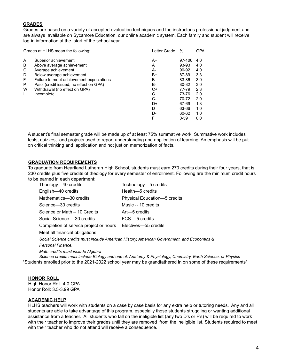#### **GRADES**

Grades are based on a variety of accepted evaluation techniques and the instructor's professional judgment and are always available on Sycamore Education, our online academic system. Each family and student will receive log-in information at the start of the school year.

| Grades at HLHS mean the following: |                                          | Letter Grade | $\%$     | <b>GPA</b> |
|------------------------------------|------------------------------------------|--------------|----------|------------|
| A                                  | Superior achievement                     | A+           | 97-100   | 4.0        |
| B                                  | Above average achievement                | A            | 93-93    | 4.0        |
| С                                  | Average achievement                      | А-           | 90-92    | 4.0        |
| D                                  | Below average achievement                | B+           | 87-89    | 3.3        |
| F                                  | Failure to meet achievement expectations | B            | 83-86    | 3.0        |
| P                                  | Pass (credit issued, no effect on GPA)   | B-           | 80-82    | 3.0        |
| W                                  | Withdrawal (no effect on GPA)            | C+           | 77-79    | 2.3        |
| L                                  | Incomplete                               | C            | 73-76    | 2.0        |
|                                    |                                          | $C-$         | 70-72    | 2.0        |
|                                    |                                          | D+           | 67-69    | 1.3        |
|                                    |                                          | D            | 63-66    | 1.0        |
|                                    |                                          | D-           | 60-62    | 1.0        |
|                                    |                                          | F            | $0 - 59$ | 0.0        |
|                                    |                                          |              |          |            |

A student's final semester grade will be made up of at least 75% summative work. Summative work includes tests, quizzes, and projects used to report understanding and application of learning. An emphasis will be put on critical thinking and application and not just on memorization of facts.

#### **GRADUATION REQUIREMENTS**

To graduate from Heartland Lutheran High School, students must earn 270 credits during their four years, that is 230 credits plus five credits of theology for every semester of enrollment. Following are the minimum credit hours to be earned in each department:

| Theology-40 credits                    | Technology-5 credits         |
|----------------------------------------|------------------------------|
| English-40 credits                     | Health-5 credits             |
| Mathematics-30 credits                 | Physical Education-5 credits |
| Science-30 credits                     | Music -- 10 credits          |
| Science or Math - 10 Credits           | Art—5 credits                |
| Social Science -30 credits             | FCS -- 5 credits             |
| Completion of service project or hours | Electives-55 credits         |

Meet all financial obligations

*Social Science credits must include American History, American Government, and Economics & Personal Finance.*

*Math credits must include Algebra*

*Science credits must include Biology and one of: Anatomy & Physiology, Chemistry, Earth Science, or Physics* \*Students enrolled prior to the 2021-2022 school year may be grandfathered in on some of these requirements\*

#### **HONOR ROLL**

High Honor Roll: 4.0 GPA Honor Roll: 3.5-3.99 GPA

#### **ACADEMIC HELP**

HLHS teachers will work with students on a case by case basis for any extra help or tutoring needs. Any and all students are able to take advantage of this program, especially those students struggling or wanting additional assistance from a teacher. All students who fall on the ineligible list (any two D's or F's) will be required to work with their teacher to improve their grades until they are removed from the ineligible list. Students required to meet with their teacher who do not attend will receive a consequence.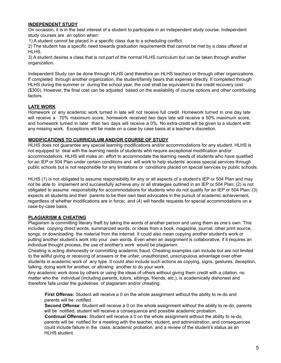#### **INDEPENDENT STUDY**

On occasion, it is in the best interest of a student to participate in an independent study course. Independent study courses are an option when:

1) A student cannot be placed in a specific class due to a scheduling conflict.

2) The student has a specific need towards graduation requirements that cannot be met by a class offered at HLHS.

3) A student desires a class that is not part of the normal HLHS curriculum but can be taken through another organization.

Independent Study can be done through HLHS (and therefore an HLHS teacher) or through other organizations. If completed through another organization, the student/family bears that expense directly. If completed through HLHS during the summer or during the school year, the cost shall be equivalent to the credit recovery cost (\$300). However, the final cost can be adjusted based on the availability of course options and other contributing factors.

#### **LATE WORK**

Homework or any academic work turned in late will not receive full credit. Homework turned in one day late will receive a 70% maximum score, homework received two days late will receive a 50% maximum score, and homework turned in later than two days will receive a 0%. No extra-credit will be given to a student with any missing work. Exceptions will be made on a case by case basis at a teacher's discretion.

#### **MODIFICATIONS TO CURRICULUM AND/OR COURSE OF STUDY**

HLHS does not guarantee any special learning modifications and/or accommodations for any student. HLHS is not equipped to deal with the learning needs of students who require exceptional modification and/or accommodations. HLHS will make an effort to accommodate the learning needs of students who have qualified for an IEP or 504 Plan under certain conditions and will work to help students' access special services through public schools but is not responsible for any limitations or conditions placed on special services by public schools.

HLHS (1) is not obligated to assume responsibility for any or all aspects of a student's IEP or 504 Plan and may not be able to implement and successfully achieve any or all strategies outlined in an IEP or 504 Plan; (2) is not obligated to assume responsibility for accommodations for students who do not qualify for an IEP or 504 Plan; (3) expects all students and their parents to be their own best advocates in the pursuit of academic achievement, regardless of whether modifications are in force; and (4) will handle requests for special accommodations on a case-by-case basis.

#### **PLAGIARISM & CHEATING**

Plagiarism is committing literary theft by taking the words of another person and using them as one's own. This includes copying direct words, summarized words, or ideas from a book, magazine, journal, other print source, songs, or downloading the material from the internet. It could also mean copying another student's work or putting another student's work into your own words. Even when an assignment is collaborative, if it requires an individual thought process, the use of another's work would be plagiarism.

Cheating is acting dishonestly or committing academic fraud. Cheating examples can include but are not limited to the willful giving or receiving of answers or the unfair, unauthorized, unscrupulous advantage over other students in academic work of any type. It could also include such actions as copying, signs, gestures, deception, talking, doing work for another, or allowing another to do your work.

Any academic work done by others or using the ideas of others without giving them credit with a citation, no matter who the individual (including parents, tutors, siblings, friends, etc.), is academically dishonest and therefore falls under the guidelines of plagiarism and/or cheating.

**First Offense:** Student will receive a 0 on the whole assignment without the ability to re-do and parents will be notified.

**Second Offense**: Student will receive a 0 on the whole assignment without the ability to re-do, parents will be notified, student will receive a consequence and possible academic probation.

**Continual Offenses:** Student will receive a 0 on the whole assignment without the ability to re-do, parents will be notified for a meeting with the teacher, student, and administration, and consequences could include failure in the class, academic probation, and a review of the student's status as an HLHS student.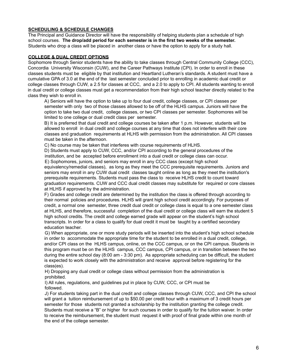#### **SCHEDULING & SCHEDULE CHANGES**

The Principal and Guidance Director will have the responsibility of helping students plan a schedule of high school courses. **The drop/add period for each semester is in the first two weeks of the semester.** Students who drop a class will be placed in another class or have the option to apply for a study hall.

#### **COLLEGE & DUAL CREDIT OPTIONS**

Sophomore through Senior students have the ability to take classes through Central Community College (CCC), Concordia University Wisconsin (CUW), and the Career Pathways Institute (CPI). In order to enroll in these classes students must be eligible by that institution and Heartland Lutheran's standards. A student must have a cumulative GPA of 3.0 at the end of the last semester concluded prior to enrolling in academic dual credit or college classes through CUW, a 2.5 for classes at CCC, and a 2.0 to apply to CPI. All students wanting to enroll in dual credit or college classes must get a recommendation from their high school teacher directly related to the class they wish to enroll in.

A) Seniors will have the option to take up to four dual credit, college classes, or CPI classes per semester with only two of those classes allowed to be off of the HLHS campus. Juniors will have the option to take two dual credit, college classes, or two CPI classes per semester. Sophomores will be limited to one college or dual credit class per semester.

B) It is preferred that dual credit and college courses be taken after 1 p.m. However, students will be allowed to enroll in dual credit and college courses at any time that does not interfere with their core classes and graduation requirements at HLHS with permission from the administration. All CPI classes must be taken in the afternoon.

C) No course may be taken that interferes with course requirements of HLHS.

D) Students must apply to CUW, CCC, and/or CPI according to the general procedures of the institution, and be accepted before enrollment into a dual credit or college class can occur.

E) Sophomores, juniors, and seniors may enroll in any CCC class (except high school equivalency/remedial classes), as long as they meet the CCC prerequisite requirements. Juniors and seniors may enroll in any CUW dual credit classes taught online as long as they meet the institution's prerequisite requirements. Students must pass the class to receive HLHS credit to count toward graduation requirements. CUW and CCC dual credit classes may substitute for required or core classes at HLHS if approved by the administration.

F) Grades and college credit are determined by the institution the class is offered through according to their normal policies and procedures. HLHS will grant high school credit accordingly. For purposes of credit, a normal one semester, three credit dual credit or college class is equal to a one semester class at HLHS, and therefore, successful completion of the dual credit or college class will earn the student 5 high school credits. The credit and college earned grade will appear on the student's high school transcripts. In order for a class to qualify for dual credit it must be taught by a certified secondary education teacher.

G) When appropriate, one or more study periods will be inserted into the student's high school schedule in order to accommodate the appropriate time for the student to be enrolled in a dual credit, college, and/or CPI class on the HLHS campus, online, on the CCC campus, or on the CPI campus. Students in this program must be on the HLHS campus, CCC campus, CPI campus, or in transition between the two during the entire school day (8:00 am - 3:30 pm). As appropriate scheduling can be difficult, the student is expected to work closely with the administration and receive approval before registering for the class(es).

H) Dropping any dual credit or college class without permission from the administration is prohibited.

I) All rules, regulations, and guidelines put in place by CUW, CCC, or CPI must be followed.

J) For students taking part in the dual credit and college classes through CUW, CCC, and CPI the school will grant a tuition reimbursement of up to \$50.00 per credit hour with a maximum of 3 credit hours per semester for those students not granted a scholarship by the institution granting the college credit. Students must receive a "B" or higher for such courses in order to qualify for the tuition waiver. In order to receive the reimbursement, the student must request it with proof of final grade within one month of the end of the college semester.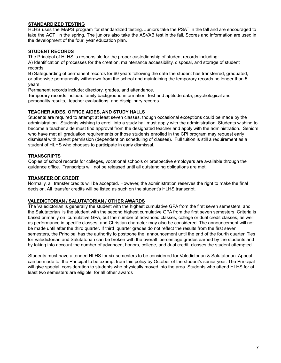#### **STANDARDIZED TESTING**

HLHS uses the MAPS program for standardized testing. Juniors take the PSAT in the fall and are encouraged to take the ACT in the spring. The juniors also take the ASVAB test in the fall. Scores and information are used in the development of the four year education plan.

#### **STUDENT RECORDS**

The Principal of HLHS is responsible for the proper custodianship of student records including:

A) Identification of processes for the creation, maintenance accessibility, disposal, and storage of student records.

B) Safeguarding of permanent records for 60 years following the date the student has transferred, graduated, or otherwise permanently withdrawn from the school and maintaining the temporary records no longer than 5 years.

Permanent records include: directory, grades, and attendance.

Temporary records include: family background information, test and aptitude data, psychological and personality results, teacher evaluations, and disciplinary records.

#### **TEACHER AIDES, OFFICE AIDES, AND STUDY HALLS**

Students are required to attempt at least seven classes, though occasional exceptions could be made by the administration. Students wishing to enroll into a study hall must apply with the administration. Students wishing to become a teacher aide must find approval from the designated teacher and apply with the administration. Seniors who have met all graduation requirements or those students enrolled in the CPI program may request early dismissal with parent permission (dependent on scheduling of classes). Full tuition is still a requirement as a student of HLHS who chooses to participate in early dismissal.

#### **TRANSCRIPTS**

Copies of school records for colleges, vocational schools or prospective employers are available through the guidance office. Transcripts will not be released until all outstanding obligations are met.

#### **TRANSFER OF CREDIT**

Normally, all transfer credits will be accepted. However, the administration reserves the right to make the final decision. All transfer credits will be listed as such on the student's HLHS transcript.

#### **VALEDICTORIAN / SALUTATORIAN / OTHER AWARDS**

The Valedictorian is generally the student with the highest cumulative GPA from the first seven semesters, and the Salutatorian is the student with the second highest cumulative GPA from the first seven semesters. Criteria is based primarily on cumulative GPA, but the number of advanced classes, college or dual credit classes, as well as performance in specific classes and Christian character may also be considered. The announcement will not be made until after the third quarter. If third quarter grades do not reflect the results from the first seven semesters, the Principal has the authority to postpone the announcement until the end of the fourth quarter. Ties for Valedictorian and Salutatorian can be broken with the overall percentage grades earned by the students and by taking into account the number of advanced, honors, college, and dual credit classes the student attempted.

Students must have attended HLHS for six semesters to be considered for Valedictorian & Salutatorian. Appeal can be made to the Principal to be exempt from this policy by October of the student's senior year. The Principal will give special consideration to students who physically moved into the area. Students who attend HLHS for at least two semesters are eligible for all other awards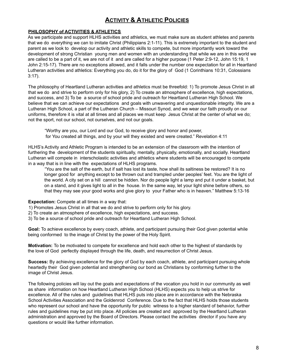#### **ACTIVITY & ATHLETIC POLICIES**

#### **PHILOSOPHY of ACTIVITIES & ATHLETICS**

As we participate and support HLHS activities and athletics, we must make sure as student athletes and parents that we do everything we can to imitate Christ (Philippians 2:1-11). This is extremely important to the student and parent as we look to develop our activity and athletic skills to compete, but more importantly work toward the development of strong Christian young men and women with an understanding that while we are in this world we are called to be a part of it, we are not of it and are called for a higher purpose (1 Peter 2:9-12, John 15:19, 1 John 2:15-17). There are no exceptions allowed, and it falls under the number one expectation for all in Heartland Lutheran activities and athletics: Everything you do, do it for the glory of God (1 Corinthians 10:31, Colossians 3:17).

The philosophy of Heartland Lutheran activities and athletics must be threefold: 1) To promote Jesus Christ in all that we do and strive to perform only for his glory, 2) To create an atmosphere of excellence, high expectations, and success, and 3) To be a source of school pride and outreach for Heartland Lutheran High School. We believe that we can achieve our expectations and goals with unwavering and unquestionable integrity. We are a Lutheran High School, a part of the Lutheran Church – Missouri Synod, and we wear our faith proudly on our uniforms, therefore it is vital at all times and all places we must keep Jesus Christ at the center of what we do; not the sport, not our school, not ourselves, and not our goals.

"Worthy are you, our Lord and our God, to receive glory and honor and power, for You created all things, and by your will they existed and were created." Revelation 4:11

HLHS's Activity and Athletic Program is intended to be an extension of the classroom with the intention of furthering the development of the students spiritually, mentally, physically, emotionally, and socially. Heartland Lutheran will compete in interscholastic activities and athletics where students will be encouraged to compete in a way that is in line with the expectations of HLHS programs.

"You are the salt of the earth, but if salt has lost its taste, how shall its saltiness be restored? It is no longer good for anything except to be thrown out and trampled under peoples' feet. You are the light of the world. A city set on a hill cannot be hidden. Nor do people light a lamp and put it under a basket, but on a stand, and it gives light to all in the house. In the same way, let your light shine before others, so that they may see your good works and give glory to your Father who is in heaven." Matthew 5:13-16

#### **Expectation:** Compete at all times in a way that:

- 1) Promotes Jesus Christ in all that we do and strive to perform only for his glory.
- 2) To create an atmosphere of excellence, high expectations, and success.
- 3) To be a source of school pride and outreach for Heartland Lutheran High School.

**Goal:** To achieve excellence by every coach, athlete, and participant pursuing their God given potential while being conformed to the image of Christ by the power of the Holy Spirit.

**Motivation:** To be motivated to compete for excellence and hold each other to the highest of standards by the love of God perfectly displayed through the life, death, and resurrection of Christ Jesus.

**Success:** By achieving excellence for the glory of God by each coach, athlete, and participant pursuing whole heartedly their God given potential and strengthening our bond as Christians by conforming further to the image of Christ Jesus.

The following policies will lay out the goals and expectations of the vocation you hold in our community as well as share information on how Heartland Lutheran High School (HLHS) expects you to help us strive for excellence. All of the rules and guidelines that HLHS puts into place are in accordance with the Nebraska School Activities Association and the Goldenrod Conference. Due to the fact that HLHS holds those students who represent our school and have the opportunity for public witness to a higher standard of behavior, further rules and guidelines may be put into place. All policies are created and approved by the Heartland Lutheran administration and approved by the Board of Directors. Please contact the activities director if you have any questions or would like further information.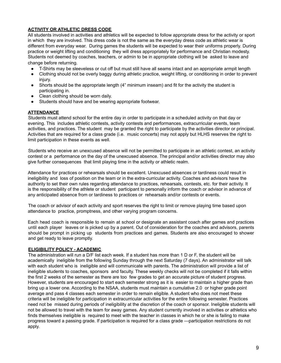#### **ACTIVITY OR ATHLETIC DRESS CODE**

All students involved in activities and athletics will be expected to follow appropriate dress for the activity or sport in which they are involved. This dress code is not the same as the everyday dress code as athletic wear is different from everyday wear. During games the students will be expected to wear their uniforms properly. During practice or weight lifting and conditioning they will dress appropriately for performance and Christian modesty. Students not deemed by coaches, teachers, or admin to be in appropriate clothing will be asked to leave and change before returning.

- T-Shirts may be sleeveless or cut off but must still have all seams intact and an appropriate armpit length
- Clothing should not be overly baggy during athletic practice, weight lifting, or conditioning in order to prevent injury.
- Shorts should be the appropriate length (4" minimum inseam) and fit for the activity the student is participating in.
- Clean clothing should be worn daily.
- Students should have and be wearing appropriate footwear.

#### **ATTENDANCE**

Students must attend school for the entire day in order to participate in a scheduled activity on that day or evening. This includes athletic contests, activity contests and performances, extracurricular events, team activities, and practices. The student may be granted the right to participate by the activities director or principal. Activities that are required for a class grade (i.e. music concerts) may not apply but HLHS reserves the right to limit participation in these events as well.

Students who receive an unexcused absence will not be permitted to participate in an athletic contest, an activity contest or a performance on the day of the unexcused absence. The principal and/or activities director may also give further consequences that limit playing time in the activity or athletic realm.

Attendance for practices or rehearsals should be excellent. Unexcused absences or tardiness could result in ineligibility and loss of position on the team or in the extra-curricular activity. Coaches and advisors have the authority to set their own rules regarding attendance to practices, rehearsals, contests, etc. for their activity. It is the responsibility of the athlete or student participant to personally inform the coach or advisor in advance of any anticipated absence from or tardiness to practices or rehearsals and/or contests or events.

The coach or advisor of each activity and sport reserves the right to limit or remove playing time based upon attendance to practice, promptness, and other varying program concerns.

Each head coach is responsible to remain at school or designate an assistant coach after games and practices until each player leaves or is picked up by a parent. Out of consideration for the coaches and advisors, parents should be prompt in picking up students from practices and games. Students are also encouraged to shower and get ready to leave promptly.

#### **ELIGIBILITY POLICY - ACADEMIC**

The administration will run a D/F list each week. If a student has more than 1 D or F, the student will be academically ineligible from the following Sunday through the next Saturday (7 days). An administrator will talk with each student who is ineligible and will communicate with parents. The administration will provide a list of ineligible students to coaches, sponsors and faculty. These weekly checks will not be completed if it falls within the first 2 weeks of the semester as there are too few grades to get an accurate picture of student progress. However, students are encouraged to start each semester strong as it is easier to maintain a higher grade than bring up a lower one. According to the NSAA, students must maintain a cumulative 2.0 or higher grade point average and pass 4 classes each semester in order to remain eligible. A student who does not meet these criteria will be ineligible for participation in extracurricular activities for the entire following semester. Practices need not be missed during periods of ineligibility at the discretion of the coach or sponsor. Ineligible students will not be allowed to travel with the team for away games. Any student currently involved in activities or athletics who finds themselves ineligible is required to meet with the teacher in classes in which he or she is failing to make progress toward a passing grade. If participation is required for a class grade —participation restrictions do not apply.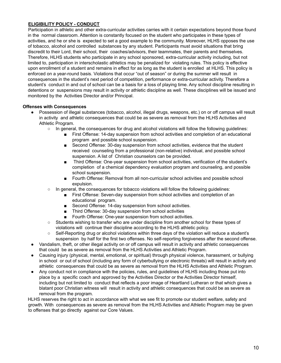#### **ELIGIBILITY POLICY - CONDUCT**

Participation in athletic and other extra-curricular activities carries with it certain expectations beyond those found in the normal classroom. Attention is constantly focused on the student who participates in these types of activities, and he or she is expected to set a good example to the community. Moreover, HLHS opposes the use of tobacco, alcohol and controlled substances by any student. Participants must avoid situations that bring discredit to their Lord, their school, their coaches/advisors, their teammates, their parents and themselves. Therefore, HLHS students who participate in any school sponsored, extra-curricular activity including, but not limited to, participation in interscholastic athletics may be penalized for violating rules. This policy is effective upon enrollment of a student and remains in effect for as long as the student is enrolled at HLHS. This policy is enforced on a year-round basis. Violations that occur "out of season" or during the summer will result in consequences in the student's next period of competition, performance or extra-curricular activity. Therefore a student's conduct in and out of school can be a basis for a loss of playing time. Any school discipline resulting in detentions or suspensions may result in activity or athletic discipline as well. These disciplines will be issued and monitored by the Activities Director and/or Principal.

#### **Offenses with Consequences**

- Possession of illegal substances (tobacco, alcohol, illegal drugs, weapons, etc.) on or off campus will result in activity and athletic consequences that could be as severe as removal from the HLHS Activities and Athletic Program.
	- In general, the consequences for drug and alcohol violations will follow the following guidelines:
		- First Offense: 14-day suspension from school activities and completion of an educational program and possible school suspension.
		- Second Offense: 30-day suspension from school activities, evidence that the student received counseling from a professional (non-relative) individual, and possible school suspension. A list of Christian counselors can be provided.
		- Third Offense: One-year suspension from school activities, verification of the student's completion of a chemical dependency evaluation program and counseling, and possible school suspension.
		- Fourth Offense: Removal from all non-curricular school activities and possible school expulsion.
	- In general, the consequences for tobacco violations will follow the following guidelines:
		- First Offense: Seven-day suspension from school activities and completion of an educational program.
		- Second Offense: 14-day suspension from school activities.
		- Third Offense: 30-day suspension from school activities
		- Fourth Offense: One-year suspension from school activities.
	- Students wishing to transfer who are under discipline from another school for these types of violations will continue their discipline according to the HLHS athletic policy.
	- Self-Reporting drug or alcohol violations within three days of the violation will reduce a student's suspension by half for the first two offenses. No self-reporting forgiveness after the second offense.
- Vandalism, theft, or other illegal activity on or off campus will result in activity and athletic consequences that could be as severe as removal from the HLHS Activities and Athletic Program.
- Causing injury (physical, mental, emotional, or spiritual) through physical violence, harassment, or bullying in school or out of school (including any form of cyberbullying or electronic threats) will result in activity and athletic consequences that could be as severe as removal from the HLHS Activities and Athletic Program.
- Any conduct not in compliance with the policies, rules, and guidelines of HLHS including those put into place by a specific coach and approved by the Activities Director or the Activities Director himself, including but not limited to conduct that reflects a poor image of Heartland Lutheran or that which gives a blatant poor Christian witness will result in activity and athletic consequences that could be as severe as removal from the program.

HLHS reserves the right to act in accordance with what we see fit to promote our student welfare, safety and growth. With consequences as severe as removal from the HLHS Activities and Athletic Program may be given to offenses that go directly against our Core Values.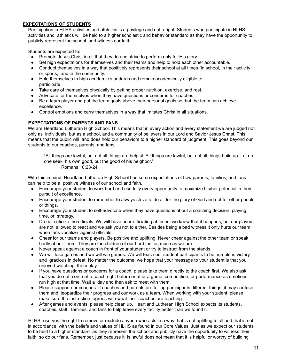#### **EXPECTATIONS OF STUDENTS**

Participation in HLHS activities and athletics is a privilege and not a right. Students who participate in HLHS activities and athletics will be held to a higher scholastic and behavior standard as they have the opportunity to publicly represent the school and witness our faith.

Students are expected to:

- Promote Jesus Christ in all that they do and strive to perform only for His glory.
- Set high expectations for themselves and their teams and help to hold each other accountable.
- Conduct themselves in a way that positively represents their school at all times (in school, in their activity or sports, and in the community.
- Hold themselves to high academic standards and remain academically eligible to participate.
- Take care of themselves physically by getting proper nutrition, exercise, and rest.
- Advocate for themselves when they have questions or concerns for coaches.
- Be a team player and put the team goals above their personal goals so that the team can achieve excellence.
- Control emotions and carry themselves in a way that imitates Christ in all situations.

#### **EXPECTATIONS OF PARENTS AND FANS**

We are Heartland Lutheran High School. This means that in every action and every statement we are judged not only as individuals, but as a school, and a community of believers in our Lord and Savior Jesus Christ. This means that the public will and does hold our behaviors to a higher standard of judgment. This goes beyond our students to our coaches, parents, and fans.

"All things are lawful, but not all things are helpful. All things are lawful, but not all things build up. Let no one seek his own good, but the good of his neighbor." Romans 10:23-24

With this in mind, Heartland Lutheran High School has some expectations of how parents, families, and fans can help to be a positive witness of our school and faith.

- Encourage your student to work hard and use fully every opportunity to maximize his/her potential in their pursuit of excellence.
- Encourage your student to remember to always strive to do all for the glory of God and not for other people or things.
- Encourage your student to self-advocate when they have questions about a coaching decision, playing time, or strategy.
- Do not criticize the officials. We will have poor officiating at times, we know that it happens, but our players are not allowed to react and we ask you not to either. Besides being a bad witness it only hurts our team when fans vocalize against officials.
- Cheer for our teams and players. Be positive and uplifting. Never cheer against the other team or speak badly about them. They are the children of our Lord just as much as we are.
- Never speak against a coach in front of your student or try to instruct from the stands.
- We will lose games and we will win games. We will teach our student participants to be humble in victory and gracious in defeat. No matter the outcome, we hope that your message to your student is that you enjoyed watching them play.
- If you have questions or concerns for a coach, please take them directly to the coach first. We also ask that you do not confront a coach right before or after a game, competition, or performance as emotions run high at that time. Wait a day and then ask to meet with them.
- Please support our coaches. If coaches and parents are telling participants different things, it may confuse them and jeopardize their progress and our work as a team. When working with your student, please make sure the instruction agrees with what their coaches are teaching.
- After games and events, please help clean up. Heartland Lutheran High School expects its students, coaches, staff, families, and fans to help leave every facility better than we found it.

HLHS reserves the right to remove or exclude anyone who acts in a way that is not uplifting to all and that is not in accordance with the beliefs and values of HLHS as found in our Core Values. Just as we expect our students to be held to a higher standard as they represent the school and publicly have the opportunity to witness their faith, so do our fans. Remember, just because it is lawful does not mean that it is helpful or worthy of building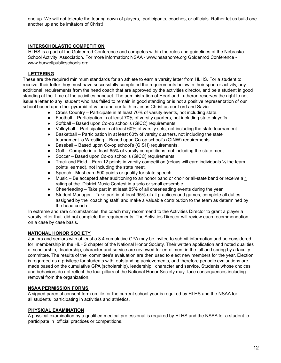one up. We will not tolerate the tearing down of players, participants, coaches, or officials. Rather let us build one another up and be imitators of Christ!

#### **INTERSCHOLASTIC COMPETITION**

HLHS is a part of the Goldenrod Conference and competes within the rules and guidelines of the Nebraska School Activity Association. For more information: NSAA - www.nsaahome.org Goldenrod Conference www.burwellpublicschools.org

#### **LETTERING**

These are the required minimum standards for an athlete to earn a varsity letter from HLHS. For a student to receive their letter they must have successfully completed the requirements below in their sport or activity, any additional requirements from the head coach that are approved by the activities director, and be a student in good standing at the time of the activities banquet. The administration of Heartland Lutheran reserves the right to not issue a letter to any student who has failed to remain in good standing or is not a positive representation of our school based upon the pyramid of value and our faith in Jesus Christ as our Lord and Savior.

- Cross Country Participate in at least 70% of varsity events, not including state.
- Football Participation in at least 70% of varsity quarters, not including state playoffs.
- Softball Based upon Co-op school's (GICC) requirements.
- Volleyball Participation in at least 60% of varsity sets, not including the state tournament.
- Basketball Participation in at least 60% of varsity quarters, not including the state tournament. o Wrestling – Based upon Co-op school's (GINW) requirements.
- Baseball Based upon Co-op school's (GISH) requirements.
- Golf Compete in at least 65% of varsity competitions, not including the state meet.
- Soccer Based upon Co-op school's (GICC) requirements.
- **•** Track and Field Earn 12 points in varsity competition (relays will earn individuals  $\frac{1}{4}$  the team points earned), not including the state meet.
- Speech Must earn 500 points or qualify for state speech.
- Music Be accepted after auditioning to an honor band or choir or all-state band or receive a 1 rating at the District Music Contest in a solo or small ensemble.
- $\bullet$  Cheerleading Take part in at least 85% of all cheerleading events during the year.
- Student Manager Take part in at least 95% of all practices and games, complete all duties assigned by the coaching staff, and make a valuable contribution to the team as determined by the head coach.

In extreme and rare circumstances, the coach may recommend to the Activities Director to grant a player a varsity letter that did not complete the requirements. The Activities Director will review each recommendation on a case by case basis.

#### **NATIONAL HONOR SOCIETY**

Juniors and seniors with at least a 3.4 cumulative GPA may be invited to submit information and be considered for membership in the HLHS chapter of the National Honor Society. Their written application and noted qualities of scholarship, leadership, character and service are reviewed for enrollment in the fall and spring by a faculty committee. The results of the committee's evaluation are then used to elect new members for the year. Election is regarded as a privilege for students with outstanding achievements, and therefore periodic evaluations are made based on the cumulative GPA (scholarship), leadership, character and service. Students whose choices and behaviors do not reflect the four pillars of the National Honor Society may face consequences including removal from the organization.

#### **NSAA PERMISSION FORMS**

A signed parental consent form on file for the current school year is required by HLHS and the NSAA for all students participating in activities and athletics.

#### **PHYSICAL EXAMINATION**

A physical examination by a qualified medical professional is required by HLHS and the NSAA for a student to participate in official practices or competitions.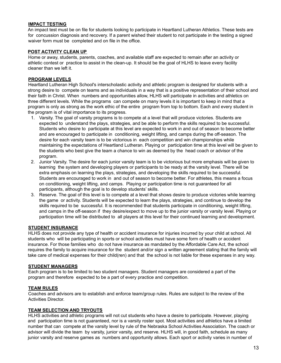#### **IMPACT TESTING**

An impact test must be on file for students looking to participate in Heartland Lutheran Athletics. These tests are for concussion diagnosis and recovery. If a parent wished their student to not participate in the testing a signed waiver form must be completed and on file in the office.

#### **POST ACTIVITY CLEAN UP**

Home or away, students, parents, coaches, and available staff are expected to remain after an activity or athletic contest or practice to assist in the clean-up. It should be the goal of HLHS to leave every facility cleaner than we left it.

#### **PROGRAM LEVELS**

Heartland Lutheran High School's interscholastic activity and athletic program is designed for students with a strong desire to compete on teams and as individuals in a way that is a positive representation of their school and their faith in Christ. When numbers and opportunities allow, HLHS will participate in activities and athletics on three different levels. While the programs can compete on many levels it is important to keep in mind that a program is only as strong as the work ethic of the entire program from top to bottom. Each and every student in the program is of vital importance to its progress.

- 1. Varsity. The goal of varsity programs is to compete at a level that will produce victories. Students are expected to understand the plays, strategies, and be able to perform the skills required to be successful. Students who desire to participate at this level are expected to work in and out of season to become better and are encouraged to participate in conditioning, weight lifting, and camps during the off-season. The desire for each varsity team is to be victorious in each competition and win championships while maintaining the expectations of Heartland Lutheran. Playing or participation time at this level will be given to the students who best give the team a chance to win as deemed by the head coach or advisor of the program.
- 2. Junior Varsity. The desire for each junior varsity team is to be victorious but more emphasis will be given to learning the system and developing players or participants to be ready at the varsity level. There will be extra emphasis on learning the plays, strategies, and developing the skills required to be successful. Students are encouraged to work in and out of season to become better. For athletes, this means a focus on conditioning, weight lifting, and camps. Playing or participation time is not guaranteed for all participants, although the goal is to develop students' skills.
- 3. Reserve. The goal of this level is to compete at a level that shows desire to produce victories while learning the game or activity. Students will be expected to learn the plays, strategies, and continue to develop the skills required to be successful. It is recommended that students participate in conditioning, weight lifting, and camps in the off-season if they desire/expect to move up to the junior varsity or varsity level. Playing or participation time will be distributed to all players at this level for their continued learning and development.

#### **STUDENT INSURANCE**

HLHS does not provide any type of health or accident insurance for injuries incurred by your child at school. All students who will be participating in sports or school activities must have some form of health or accident insurance. For those families who do not have insurance as mandated by the Affordable Care Act, the school requires the family to acquire insurance for the student and/or sign a written agreement stating that the family will take care of medical expenses for their child(ren) and that the school is not liable for these expenses in any way.

#### **STUDENT MANAGERS**

Each program is to be limited to two student managers. Student managers are considered a part of the program and therefore expected to be a part of every practice and competition.

#### **TEAM RULES**

Coaches and advisors are to establish and enforce team/group rules. Rules are subject to the review of the Activities Director.

#### **TEAM SELECTION AND TRYOUTS**

HLHS activities and athletic programs will not cut students who have a desire to participate. However, playing and participation time is not guaranteed, nor is a varsity roster spot. Most activities and athletics have a limited number that can compete at the varsity level by rule of the Nebraska School Activities Association. The coach or advisor will divide the team by varsity, junior varsity, and reserve. HLHS will, in good faith, schedule as many junior varsity and reserve games as numbers and opportunity allows. Each sport or activity varies in number of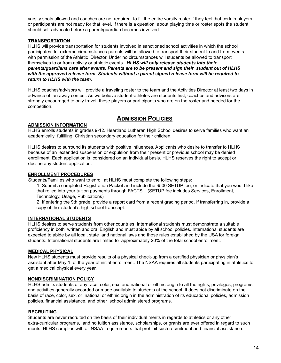varsity spots allowed and coaches are not required to fill the entire varsity roster if they feel that certain players or participants are not ready for that level. If there is a question about playing time or roster spots the student should self-advocate before a parent/guardian becomes involved.

#### **TRANSPORTATION**

HLHS will provide transportation for students involved in sanctioned school activities in which the school participates. In extreme circumstances parents will be allowed to transport their student to and from events with permission of the Athletic Director. Under no circumstances will students be allowed to transport themselves to or from activity or athletic events. *HLHS will only release students into their parents/guardians care after events. Parents are to be present and sign their student out of HLHS with the approved release form. Students without a parent signed release form will be required to return to HLHS with the team.*

HLHS coaches/advisors will provide a traveling roster to the team and the Activities Director at least two days in advance of an away contest. As we believe student-athletes are students first, coaches and advisors are strongly encouraged to only travel those players or participants who are on the roster and needed for the competition.

#### **ADMISSION POLICIES**

#### **ADMISSION INFORMATION**

HLHS enrolls students in grades 9-12. Heartland Lutheran High School desires to serve families who want an academically fulfilling, Christian secondary education for their children.

HLHS desires to surround its students with positive influences. Applicants who desire to transfer to HLHS because of an extended suspension or expulsion from their present or previous school may be denied enrollment. Each application is considered on an individual basis. HLHS reserves the right to accept or decline any student application.

#### **ENROLLMENT PROCEDURES**

Students/Families who want to enroll at HLHS must complete the following steps:

1. Submit a completed Registration Packet and include the \$500 SETUP fee, or indicate that you would like that rolled into your tuition payments through FACTS. (SETUP fee includes Services, Enrollment, Technology, Usage, Publications)

2. If entering the 9th grade, provide a report card from a recent grading period. If transferring in, provide a copy of the student's high school transcript.

#### **INTERNATIONAL STUDENTS**

HLHS desires to serve students from other countries. International students must demonstrate a suitable proficiency in both written and oral English and must abide by all school policies. International students are expected to abide by all local, state and national laws and those rules established by the USA for foreign students. International students are limited to approximately 20% of the total school enrollment.

#### **MEDICAL PHYSICAL**

New HLHS students must provide results of a physical check-up from a certified physician or physician's assistant after May 1 of the year of initial enrollment. The NSAA requires all students participating in athletics to get a medical physical every year.

#### **NONDISCRIMINATION POLICY**

HLHS admits students of any race, color, sex, and national or ethnic origin to all the rights, privileges, programs and activities generally accorded or made available to students at the school. It does not discriminate on the basis of race, color, sex, or national or ethnic origin in the administration of its educational policies, admission policies, financial assistance, and other school administered programs.

#### **RECRUITING**

Students are never recruited on the basis of their individual merits in regards to athletics or any other extra-curricular programs, and no tuition assistance, scholarships, or grants are ever offered in regard to such merits. HLHS complies with all NSAA requirements that prohibit such recruitment and financial assistance.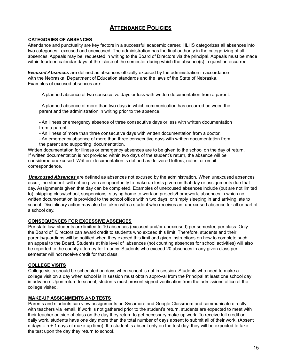#### **ATTENDANCE POLICIES**

#### **CATEGORIES OF ABSENCES**

Attendance and punctuality are key factors in a successful academic career. HLHS categorizes all absences into two categories: excused and unexcused. The administration has the final authority in the categorizing of all absences. Appeals may be requested in writing to the Board of Directors via the principal. Appeals must be made within fourteen calendar days of the close of the semester during which the absence(s) in question occurred.

*Excused Absences* are defined as absences officially excused by the administration in accordance with the Nebraska Department of Education standards and the laws of the State of Nebraska. Examples of excused absences are:

- A planned absence of two consecutive days or less with written documentation from a parent.

- A planned absence of more than two days in which communication has occurred between the parent and the administration in writing prior to the absence.

- An illness or emergency absence of three consecutive days or less with written documentation from a parent.

- An illness of more than three consecutive days with written documentation from a doctor.

- An emergency absence of more than three consecutive days with written documentation from the parent and supporting documentation.

Written documentation for illness or emergency absences are to be given to the school on the day of return. If written documentation is not provided within two days of the student's return, the absence will be considered unexcused. Written documentation is defined as delivered letters, notes, or email correspondence.

*Unexcused Absences* are defined as absences not excused by the administration. When unexcused absences occur, the student will not be given an opportunity to make up tests given on that day or assignments due that day. Assignments given that day can be completed. Examples of unexcused absences include (but are not limited to): skipping class/school, suspensions, staying home to work on projects/homework, absences in which no written documentation is provided to the school office within two days, or simply sleeping in and arriving late to school. Disciplinary action may also be taken with a student who receives an unexcused absence for all or part of a school day.

#### **CONSEQUENCES FOR EXCESSIVE ABSENCES**

Per state law, students are limited to 10 absences (excused and/or unexcused) per semester, per class. Only the Board of Directors can award credit to students who exceed this limit. Therefore, students and their parents/guardians will be notified when they exceed this limit and given instructions on how to complete such an appeal to the Board. Students at this level of absences (not counting absences for school activities) will also be reported to the county attorney for truancy. Students who exceed 20 absences in any given class per semester will not receive credit for that class.

#### **COLLEGE VISITS**

College visits should be scheduled on days when school is not in session. Students who need to make a college visit on a day when school is in session must obtain approval from the Principal at least one school day in advance. Upon return to school, students must present signed verification from the admissions office of the college visited.

#### **MAKE-UP ASSIGNMENTS AND TESTS**

Parents and students can view assignments on Sycamore and Google Classroom and communicate directly with teachers via email. If work is not gathered prior to the student's return, students are expected to meet with their teacher outside of class on the day they return to get necessary make-up work. To receive full credit on daily work, students have one day more than the total number of days absent to submit all of their work. (Absent  $n$  days =  $n + 1$  days of make-up time). If a student is absent only on the test day, they will be expected to take the test upon the day they return to school.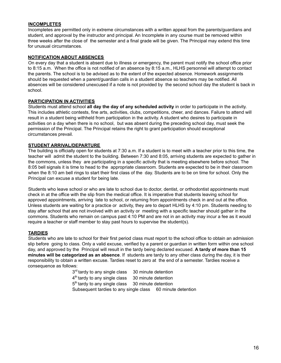#### **INCOMPLETES**

Incompletes are permitted only in extreme circumstances with a written appeal from the parents/guardians and student, and approval by the instructor and principal. An Incomplete in any course must be removed within three weeks after the close of the semester and a final grade will be given. The Principal may extend this time for unusual circumstances.

#### **NOTIFICATION ABOUT ABSENCES**

On every day that a student is absent due to illness or emergency, the parent must notify the school office prior to 8:15 a.m. When the office is not notified of an absence by 8:15 a.m., HLHS personnel will attempt to contact the parents. The school is to be advised as to the extent of the expected absence. Homework assignments should be requested when a parent/guardian calls in a student absence so teachers may be notified. All absences will be considered unexcused if a note is not provided by the second school day the student is back in school.

#### **PARTICIPATION IN ACTIVITIES**

Students must attend school **all day the day of any scheduled activity** in order to participate in the activity. This includes athletic contests, fine arts, activities, clubs, competitions, cheer, and dances. Failure to attend will result in a student being withheld from participation in the activity. A student who desires to participate in activities on a day when there is no school, but was absent during the preceding school day, must seek the permission of the Principal. The Principal retains the right to grant participation should exceptional circumstances prevail.

#### **STUDENT ARRIVAL/DEPARTURE**

The building is officially open for students at 7:30 a.m. If a student is to meet with a teacher prior to this time, the teacher will admit the student to the building. Between 7:30 and 8:05, arriving students are expected to gather in the commons, unless they are participating in a specific activity that is meeting elsewhere before school. The 8:05 bell signals it is time to head to the appropriate classroom. Students are expected to be in their classroom when the 8:10 am bell rings to start their first class of the day. Students are to be on time for school. Only the Principal can excuse a student for being late.

Students who leave school or who are late to school due to doctor, dentist, or orthodontist appointments must check in at the office with the slip from the medical office. It is imperative that students leaving school for approved appointments, arriving late to school, or returning from appointments check in and out at the office. Unless students are waiting for a practice or activity, they are to depart HLHS by 4:10 pm. Students needing to stay after school that are not involved with an activity or meeting with a specific teacher should gather in the commons. Students who remain on campus past 4:10 PM and are not in an activity may incur a fee as it would require a teacher or staff member to stay past hours to supervise the student(s).

#### **TARDIES**

Students who are late to school for their first period class must report to the school office to obtain an admission slip before going to class. Only a valid excuse, verified by a parent or guardian in written form within one school day, and approved by the Principal will result in the tardy being declared excused. **A tardy of more than 15 minutes will be categorized as an absence**. If students are tardy to any other class during the day, it is their responsibility to obtain a written excuse. Tardies reset to zero at the end of a semester. Tardies receive a consequence as follows:

> 3<sup>rd</sup> tardy to any single class 30 minute detention  $4<sup>th</sup>$  tardy to any single class  $30$  minute detention 5<sup>th</sup> tardy to any single class 30 minute detention Subsequent tardies to any single class 60 minute detention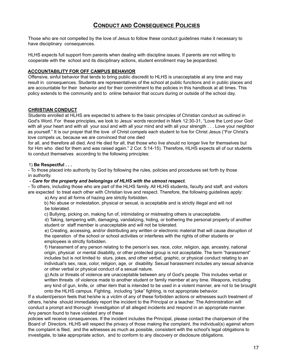#### **CONDUCT AND CONSEQUENCE POLICIES**

Those who are not compelled by the love of Jesus to follow these conduct guidelines make it necessary to have disciplinary consequences.

HLHS expects full support from parents when dealing with discipline issues. If parents are not willing to cooperate with the school and its disciplinary actions, student enrollment may be jeopardized.

#### **ACCOUNTABILITY FOR OFF CAMPUS BEHAVIOR**

Offensive, sinful behavior that tends to bring public discredit to HLHS is unacceptable at any time and may result in consequences. Students are representatives of the school at public functions and in public places and are accountable for their behavior and for their commitment to the policies in this handbook at all times. This policy extends to the community and to online behavior that occurs during or outside of the school day.

#### **CHRISTIAN CONDUCT**

Students enrolled at HLHS are expected to adhere to the basic principles of Christian conduct as outlined in God's Word. For these principles, we look to Jesus' words recorded in Mark 12:30-31, "Love the Lord your God with all your heart and with all your soul and with all your mind and with all your strength . . . Love your neighbor as yourself." It is our prayer that the love of Christ compels each student to live for Christ Jesus ("For Christ's love compels us, because we are convinced that one died

for all, and therefore all died. And He died for all, that those who live should no longer live for themselves but for Him who died for them and was raised again." 2 Cor. 5:14-15). Therefore, HLHS expects all of our students to conduct themselves according to the following principles:

#### 1) **Be Respectful . . .**

- To those placed into authority by God by following the rules, policies and procedures set forth by those in authority.

#### **-** *Care for the property and belongings of HLHS with the utmost respect.*

- To others, including those who are part of the HLHS family. All HLHS students, faculty and staff, and visitors are expected to treat each other with Christian love and respect. Therefore, the following guidelines apply:

a) Any and all forms of hazing are strictly forbidden.

b) No abuse or molestation, physical or sexual, is acceptable and is strictly illegal and will not be tolerated.

c) Bullying, picking on, making fun of, intimidating or mistreating others is unacceptable.

d) Taking, tampering with, damaging, vandalizing, hiding, or bothering the personal property of another student or staff member is unacceptable and will not be tolerated.

e) Creating, accessing, and/or distributing any written or electronic material that will cause disruption of the operation of the school or school activities or interferes with the rights of other students or employees is strictly forbidden.

f) Harassment of any person relating to the person's sex, race, color, religion, age, ancestry, national origin, physical or mental disability, or other protected group is not acceptable. The term "harassment" includes but is not limited to slurs, jokes, and other verbal, graphic, or physical conduct relating to an individual's sex, race, color, religion, age, or disability. Sexual harassment includes any sexual advance or other verbal or physical conduct of a sexual nature.

g) Acts or threats of violence are unacceptable between any of God's people. This includes verbal or written threats of violence made to another student or family member at any time. Weapons, including any kind of gun, knife, or other item that is intended to be used in a violent manner, are not to be brought onto the HLHS campus. Fighting, including "joke" fighting, is not appropriate behavior.

If a student/person feels that he/she is a victim of any of these forbidden actions or witnesses such treatment of others, he/she should immediately report the incident to the Principal or a teacher. The Administration will conduct a prompt and thorough investigation of all alleged incidents and respond in an appropriate manner. Any person found to have violated any of these

policies will receive consequences. If the incident includes the Principal, please contact the chairperson of the Board of Directors. HLHS will respect the privacy of those making the complaint, the individual(s) against whom the complaint is filed, and the witnesses as much as possible, consistent with the school's legal obligations to investigate, to take appropriate action, and to conform to any discovery or disclosure obligations.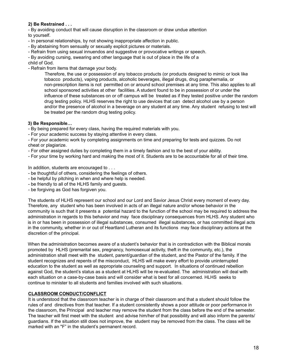#### **2) Be Restrained . . .**

- By avoiding conduct that will cause disruption in the classroom or draw undue attention to yourself.

- In personal relationships, by not showing inappropriate affection in public.
- By abstaining from sensually or sexually explicit pictures or materials.
- Refrain from using sexual innuendos and suggestive or provocative writings or speech.

- By avoiding cursing, swearing and other language that is out of place in the life of a

child of God.

- Refrain from items that damage your body.

Therefore, the use or possession of any tobacco products (or products designed to mimic or look like tobacco products), vaping products, alcoholic beverages, illegal drugs, drug paraphernalia, or non-prescription items is not permitted on or around school premises at any time. This also applies to all school sponsored activities at other facilities. A student found to be in possession of or under the influence of these substances on or off campus will be treated as if they tested positive under the random drug testing policy. HLHS reserves the right to use devices that can detect alcohol use by a person and/or the presence of alcohol in a beverage on any student at any time. Any student refusing to test will be treated per the random drug testing policy.

#### **3) Be Responsible…**

- By being prepared for every class, having the required materials with you.

- For your academic success by staying attentive in every class.

- For your academic work by completing assignments on time and preparing for tests and quizzes. Do not cheat or plagiarize.

- For other assigned duties by completing them in a timely fashion and to the best of your ability.
- For your time by working hard and making the most of it. Students are to be accountable for all of their time.

In addition, students are encouraged to . . .

- be thoughtful of others, considering the feelings of others.
- be helpful by pitching in when and where help is needed.
- be friendly to all of the HLHS family and guests.
- be forgiving as God has forgiven you.

The students of HLHS represent our school and our Lord and Savior Jesus Christ every moment of every day. Therefore, any student who has been involved in acts of an illegal nature and/or whose behavior in the community is such that it presents a potential hazard to the function of the school may be required to address the administration in regards to this behavior and may face disciplinary consequences from HLHS. Any student who is in or has been in possession of illegal substances, consumed illegal substances, or has committed illegal acts in the community, whether in or out of Heartland Lutheran and its functions may face disciplinary actions at the discretion of the principal.

When the administration becomes aware of a student's behavior that is in contradiction with the Biblical morals promoted by HLHS (premarital sex, pregnancy, homosexual activity, theft in the community, etc.), the administration shall meet with the student, parent/guardian of the student, and the Pastor of the family. If the student recognizes and repents of the misconduct, HLHS will make every effort to provide uninterrupted education to the student as well as appropriate counseling and support. In situations of continued rebellion against God, the student's status as a student at HLHS will be re-evaluated. The administration will deal with each situation on a case-by-case basis and will consider what is best for all concerned. HLHS seeks to continue to minister to all students and families involved with such situations.

#### **CLASSROOM CONDUCT/CONFLICT**

It is understood that the classroom teacher is in charge of their classroom and that a student should follow the rules of and directives from that teacher. If a student consistently shows a poor attitude or poor performance in the classroom, the Principal and teacher may remove the student from the class before the end of the semester. The teacher will first meet with the student and advise him/her of that possibility and will also inform the parents/ guardians. If the situation still does not improve, the student may be removed from the class. The class will be marked with an "F" in the student's permanent record.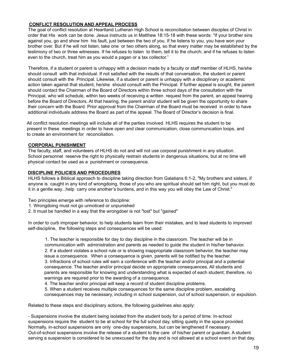#### **CONFLICT RESOLUTION AND APPEAL PROCESS**

The goal of conflict resolution at Heartland Lutheran High School is reconciliation between disciples of Christ in order that His work can be done. Jesus instructs us in Matthew 18:15-18 with these words: "If your brother sins against you, go and show him his fault, just between the two of you. If he listens to you, you have won your brother over. But if he will not listen, take one or two others along, so that every matter may be established by the testimony of two or three witnesses. If he refuses to listen to them, tell it to the church; and if he refuses to listen even to the church, treat him as you would a pagan or a tax collector."

Therefore, if a student or parent is unhappy with a decision made by a faculty or staff member of HLHS, he/she should consult with that individual. If not satisfied with the results of that conversation, the student or parent should consult with the Principal. Likewise, if a student or parent is unhappy with a disciplinary or academic action taken against that student, he/she should consult with the Principal. If further appeal is sought, the parent should contact the Chairman of the Board of Directors within three school days of the consultation with the Principal, who will schedule, within two weeks of receiving a written request from the parent, an appeal hearing before the Board of Directors. At that hearing, the parent and/or student will be given the opportunity to share their concern with the Board. Prior approval from the Chairman of the Board must be received in order to have additional individuals address the Board as part of the appeal. The Board of Director's decision is final.

All conflict resolution meetings will include all of the parties involved. HLHS requires the student to be present in these meetings in order to have open and clear communication, close communication loops, and to create an environment for reconciliation.

#### **CORPORAL PUNISHMENT**

The faculty, staff, and volunteers of HLHS do not and will not use corporal punishment in any situation. School personnel reserve the right to physically restrain students in dangerous situations, but at no time will physical contact be used as a punishment or consequence.

#### **DISCIPLINE POLICIES AND PROCEDURES**

HLHS follows a Biblical approach to discipline taking direction from Galatians 6:1-2, "My brothers and sisters, if anyone is caught in any kind of wrongdoing, those of you who are spiritual should set him right, but you must do it in a gentle way...help carry one another's burdens, and in this way you will obey the Law of Christ."

Two principles emerge with reference to discipline:

- 1. Wrongdoing must not go unnoticed or unpunished
- 2. It must be handled in a way that the wrongdoer is not "lost" but "gained"

In order to curb improper behavior, to help students learn from their mistakes, and to lead students to improved self-discipline, the following steps and consequences will be used:

1. The teacher is responsible for day to day discipline in the classroom. The teacher will be in communication with administration and parents as needed to guide the student in his/her behavior. 2. If a student violates a school rule or is showing inappropriate classroom behavior, the teacher may issue a consequence. When a consequence is given, parents will be notified by the teacher. 3. Infractions of school rules will earn a conference with the teacher and/or principal and a potential consequence. The teacher and/or principal decide on appropriate consequences. All students and parents are responsible for knowing and understanding what is expected of each student; therefore, no warnings are required prior to the awarding of a consequence.

4. The teacher and/or principal will keep a record of student discipline problems.

5. When a student receives multiple consequences for the same discipline problem, escalating consequences may be necessary, including in school suspension, out of school suspension, or expulsion.

Related to these steps and disciplinary actions, the following guidelines also apply:

- Suspensions involve the student being isolated from the student body for a period of time. In-school suspensions require the student to be at school for the full school day, sitting quietly in the space provided. Normally, in-school suspensions are only one-day suspensions, but can be lengthened if necessary. Out-of-school suspensions involve the release of a student to the care of his/her parent or guardian. A student serving a suspension is considered to be unexcused for the day and is not allowed at a school event on that day.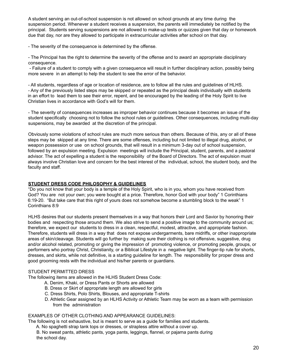A student serving an out-of-school suspension is not allowed on school grounds at any time during the suspension period. Whenever a student receives a suspension, the parents will immediately be notified by the principal. Students serving suspensions are not allowed to make-up tests or quizzes given that day or homework due that day, nor are they allowed to participate in extracurricular activities after school on that day.

- The severity of the consequence is determined by the offense.

- The Principal has the right to determine the severity of the offense and to award an appropriate disciplinary consequence.

- Failure of a student to comply with a given consequence will result in further disciplinary action, possibly being more severe in an attempt to help the student to see the error of the behavior.

- All students, regardless of age or location of residence, are to follow all the rules and guidelines of HLHS. - Any of the previously listed steps may be skipped or repeated as the principal deals individually with students in an effort to lead them to see their error, repent, and be encouraged by the leading of the Holy Spirit to live Christian lives in accordance with God's will for them.

- The severity of consequences increases as improper behavior continues because it becomes an issue of the student specifically choosing not to follow the school rules or guidelines. Other consequences, including multi-day suspensions, may be awarded at the discretion of the principal.

Obviously some violations of school rules are much more serious than others. Because of this, any or all of these steps may be skipped at any time. There are some offenses, including but not limited to illegal drug, alcohol, or weapon possession or use on school grounds, that will result in a minimum 3-day out of school suspension, followed by an expulsion meeting. Expulsion meetings will include the Principal, student, parents, and a pastoral advisor. The act of expelling a student is the responsibility of the Board of Directors. The act of expulsion must always involve Christian love and concern for the best interest of the individual, school, the student body, and the faculty and staff.

#### **STUDENT DRESS CODE PHILOSOPHY & GUIDELINES**

"Do you not know that your body is a temple of the Holy Spirit, who is in you, whom you have received from God? You are not your own; you were bought at a price. Therefore, honor God with your body" 1 Corinthians 6:19-20. "But take care that this right of yours does not somehow become a stumbling block to the weak" 1 Corinthians 8:9

HLHS desires that our students present themselves in a way that honors their Lord and Savior by honoring their bodies and respecting those around them. We also strive to send a positive image to the community around us; therefore, we expect our students to dress in a clean, respectful, modest, attractive, and appropriate fashion. Therefore, students will dress in a way that does not expose undergarments, bare midriffs, or other inappropriate areas of skin/cleavage. Students will go further by making sure their clothing is not offensive, suggestive, drug and/or alcohol related, promoting or giving the impression of promoting violence, or promoting people, groups, or performers who portray Christ, Christianity, or a Biblical Lifestyle in a negative light. The finger-tip rule for shorts, dresses, and skirts, while not definitive, is a starting guideline for length. The responsibility for proper dress and good grooming rests with the individual and his/her parents or guardians.

#### STUDENT PERMITTED DRESS

The following items are allowed in the HLHS Student Dress Code:

- A. Denim, Khaki, or Dress Pants or Shorts are allowed
- B. Dress or Skirt of appropriate length are allowed for girls
- C. Dress Shirts, Polo Shirts, Blouses, and appropriate T-shirts
- D. Athletic Gear assigned by an HLHS Activity or Athletic Team may be worn as a team with permission from the administration

#### EXAMPLES OF OTHER CLOTHING AND APPEARANCE GUIDELINES:

The following is not exhaustive, but is meant to serve as a guide for families and students.

A. No spaghetti strap tank tops or dresses, or strapless attire without a cover up.

B. No sweat pants, athletic pants, yoga pants, leggings, flannel, or pajama pants during the school day.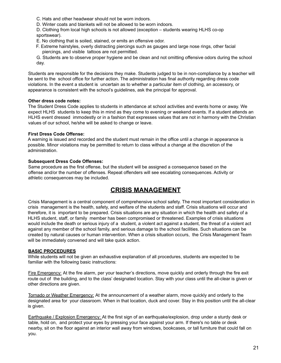- C. Hats and other headwear should not be worn indoors.
- D. Winter coats and blankets will not be allowed to be worn indoors.
- D. Clothing from local high schools is not allowed (exception students wearing HLHS co-op sportswear).
- E. No clothing that is soiled, stained, or emits an offensive odor.
- F. Extreme hairstyles, overly distracting piercings such as gauges and large nose rings, other facial piercings, and visible tattoos are not permitted.
- G. Students are to observe proper hygiene and be clean and not omitting offensive odors during the school day.

Students are responsible for the decisions they make. Students judged to be in non-compliance by a teacher will be sent to the school office for further action. The administration has final authority regarding dress code violations. In the event a student is uncertain as to whether a particular item of clothing, an accessory, or appearance is consistent with the school's guidelines, ask the principal for approval.

#### **Other dress code notes:**

The Student Dress Code applies to students in attendance at school activities and events home or away. We expect HLHS students to keep this in mind as they come to evening or weekend events. If a student attends an HLHS event dressed immodestly or in a fashion that expresses values that are not in harmony with the Christian values of our school, he/she will be asked to change or leave.

#### **First Dress Code Offense:**

A warning is issued and recorded and the student must remain in the office until a change in appearance is possible. Minor violations may be permitted to return to class without a change at the discretion of the administration.

#### **Subsequent Dress Code Offenses:**

Same procedure as the first offense, but the student will be assigned a consequence based on the offense and/or the number of offenses. Repeat offenders will see escalating consequences. Activity or athletic consequences may be included.

#### **CRISIS MANAGEMENT**

Crisis Management is a central component of comprehensive school safety. The most important consideration in crisis management is the health, safety, and welfare of the students and staff. Crisis situations will occur and therefore, it is important to be prepared. Crisis situations are any situation in which the health and safety of a HLHS student, staff, or family member has been compromised or threatened. Examples of crisis situations would include the death or serious injury of a student, a violent act against a student, the threat of a violent act against any member of the school family, and serious damage to the school facilities. Such situations can be created by natural causes or human intervention. When a crisis situation occurs, the Crisis Management Team will be immediately convened and will take quick action.

#### **BASIC PROCEDURES**

While students will not be given an exhaustive explanation of all procedures, students are expected to be familiar with the following basic instructions:

Fire Emergency: At the fire alarm, per your teacher's directions, move quickly and orderly through the fire exit route out of the building, and to the class' designated location. Stay with your class until the all-clear is given or other directions are given.

Tornado or Weather Emergency: At the announcement of a weather alarm, move quickly and orderly to the designated area for your classroom. When in that location, duck and cover. Stay in this position until the all-clear is given.

Earthquake / Explosion Emergency: At the first sign of an earthquake/explosion, drop under a sturdy desk or table, hold on, and protect your eyes by pressing your face against your arm. If there's no table or desk nearby, sit on the floor against an interior wall away from windows, bookcases, or tall furniture that could fall on you.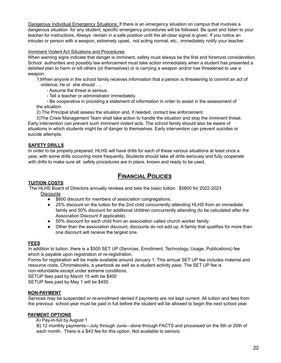Dangerous Individual Emergency Situations: If there is an emergency situation on campus that involves a dangerous situation for any student, specific emergency procedures will be followed. Be quiet and listen to your teacher for instructions. Always remain in a safe position until the all-clear signal is given. If you notice an intruder or person with a weapon, extremely upset, not acting normal, etc., immediately notify your teacher.

#### Imminent Violent Act Situations and Procedures

When warning signs indicate that danger is imminent, safety must always be the first and foremost consideration. School authorities and possibly law enforcement must take action immediately when a student has presented a detailed plan to harm or kill others (or themselves) or is carrying a weapon and/or has threatened to use a weapon.

1)When anyone in the school family receives information that a person is threatening to commit an act of violence, he or she should . . .

- Assume the threat is serious.

- Tell a teacher or administrator immediately.

- Be cooperative in providing a statement of information in order to assist in the assessment of the situation.

2) The Principal shall assess the situation and, if needed, contact law enforcement.

3)The Crisis Management Team shall take action to handle the situation and stop the imminent threat. Early intervention can prevent such imminent violent acts. The school family should also be aware of situations in which students might be of danger to themselves. Early intervention can prevent suicides or suicide attempts.

#### **SAFETY DRILLS**

In order to be properly prepared, HLHS will have drills for each of these various situations at least once a year, with some drills occurring more frequently. Students should take all drills seriously and fully cooperate with drills to make sure all safety procedures are in place, known and ready to be used.

#### **FINANCIAL POLICIES**

#### **TUITION COSTS**

The HLHS Board of Directors annually reviews and sets the basic tuition. \$5800 for 2022-2023 **Discounts** 

- \$600 discount for members of association congregations.
- 25% discount on the tuition for the 2nd child concurrently attending HLHS from an immediate family and 50% discount for additional children concurrently attending (to be calculated after the Association Discount if applicable).
- 50% discount for each child from an association called church worker family.
- Other than the association discount, discounts do not add up. A family that qualifies for more than one discount will receive the largest one.

#### **FEES**

In addition to tuition, there is a \$500 SET UP (Services, Enrollment, Technology, Usage, Publications) fee which is payable upon registration or re-registration.

Forms for registration will be made available around January 1. This annual SET UP fee includes material and resource costs, Chromebooks, a yearbook as well as a student activity pass. The SET UP fee is non-refundable except under extreme conditions.

SETUP fees paid by March 15 with be \$400

SETUP fees paid by May 1 will be \$450

#### **NON-PAYMENT**

Services may be suspended or re-enrollment denied if payments are not kept current. All tuition and fees from the previous school year must be paid in full before the student will be allowed to begin the next school year.

#### **PAYMENT OPTIONS**

A) Pay-in-full by August 1

B) 12 monthly payments—July through June—done through FACTS and processed on the 5th or 20th of each month. There is a \$43 fee for this option. Not available to seniors.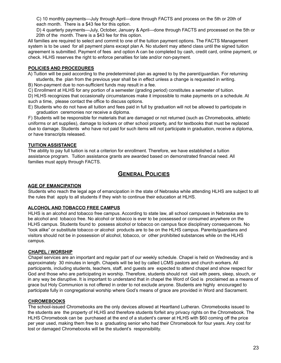C) 10 monthly payments—July through April—done through FACTS and process on the 5th or 20th of each month. There is a \$43 fee for this option.

D) 4 quarterly payments—July, October, January & April—done through FACTS and processed on the 5th or 20th of the month. There is a \$43 fee for this option.

All families are required to select and commit to one of the tuition payment options. The FACTS Management system is to be used for all payment plans except plan A. No student may attend class until the signed tuition agreement is submitted. Payment of fees and option A can be completed by cash, credit card, online payment, or check. HLHS reserves the right to enforce penalties for late and/or non-payment.

#### **POLICIES AND PROCEDURES**

- A) Tuition will be paid according to the predetermined plan as agreed to by the parent/guardian. For returning students, the plan from the previous year shall be in effect unless a change is requested in writing.
- B) Non-payment due to non-sufficient funds may result in a fee.
- C) Enrollment at HLHS for any portion of a semester (grading period) constitutes a semester of tuition.
- D) HLHS recognizes that occasionally circumstances make it impossible to make payments on a schedule. At such a time, please contact the office to discuss options.
- E) Students who do not have all tuition and fees paid in full by graduation will not be allowed to participate in graduation ceremonies nor receive a diploma.

F) Students will be responsible for materials that are damaged or not returned (such as Chromebooks, athletic uniforms or art supplies), damage to lockers or other school property, and for textbooks that must be replaced due to damage. Students who have not paid for such items will not participate in graduation, receive a diploma, or have transcripts released.

#### **TUITION ASSISTANCE**

The ability to pay full tuition is not a criterion for enrollment. Therefore, we have established a tuition assistance program. Tuition assistance grants are awarded based on demonstrated financial need. All families must apply through FACTS.

#### **GENERAL POLICIES**

#### **AGE OF EMANCIPATION**

Students who reach the legal age of emancipation in the state of Nebraska while attending HLHS are subject to all the rules that apply to all students if they wish to continue their education at HLHS.

#### **ALCOHOL AND TOBACCO FREE CAMPUS**

HLHS is an alcohol and tobacco free campus. According to state law, all school campuses in Nebraska are to be alcohol and tobacco free. No alcohol or tobacco is ever to be possessed or consumed anywhere on the HLHS campus. Students found to possess alcohol or tobacco on campus face disciplinary consequences. No "look alike" or substitute tobacco or alcohol products are to be on the HLHS campus. Parents/guardians and visitors should not be in possession of alcohol, tobacco, or other prohibited substances while on the HLHS campus.

#### **CHAPEL / WORSHIP**

Chapel services are an important and regular part of our weekly schedule. Chapel is held on Wednesday and is approximately 30 minutes in length. Chapels will be led by called LCMS pastors and church workers. All participants, including students, teachers, staff, and guests are expected to attend chapel and show respect for God and those who are participating in worship. Therefore, students should not visit with peers, sleep, slouch, or in any way be disruptive. It is important to understand that in chapel the Word of God is proclaimed as a means of grace but Holy Communion is not offered in order to not exclude anyone. Students are highly encouraged to participate fully in congregational worship where God's means of grace are provided in Word and Sacrament.

#### **CHROMEBOOKS**

The school-issued Chromebooks are the only devices allowed at Heartland Lutheran. Chromebooks issued to the students are the property of HLHS and therefore students forfeit any privacy rights on the Chromebook. The HLHS Chromebook can be purchased at the end of a student's career at HLHS with \$60 coming off the price per year used, making them free to a graduating senior who had their Chromebook for four years. Any cost for lost or damaged Chromebooks will be the student's responsibility.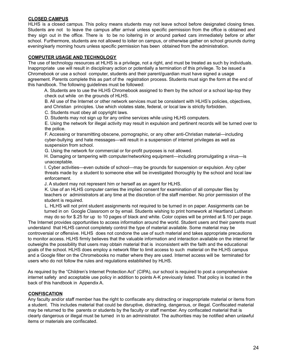#### **CLOSED CAMPUS**

HLHS is a closed campus. This policy means students may not leave school before designated closing times. Students are not to leave the campus after arrival unless specific permission from the office is obtained and they sign out in the office. There is to be no loitering in or around parked cars immediately before or after school. Furthermore, students are not allowed to loiter on campus, or otherwise gather on school grounds during evening/early morning hours unless specific permission has been obtained from the administration.

#### **COMPUTER USAGE AND TECHNOLOGY**

The use of technology resources at HLHS is a privilege, not a right, and must be treated as such by individuals. Inappropriate use will result in disciplinary action or potentially a termination of this privilege. To be issued a Chromebook or use a school computer, students and their parent/guardian must have signed a usage agreement. Parents complete this as part of the registration process. Students must sign the form at the end of this handbook. The following guidelines must be followed:

A. Students are to use the HLHS Chromebook assigned to them by the school or a school lap-top they check out while on the grounds of HLHS.

B. All use of the Internet or other network services must be consistent with HLHS's policies, objectives, and Christian principles. Use which violates state, federal, or local law is strictly forbidden.

C. Students must obey all copyright laws.

D. Students may not sign up for any online services while using HLHS computers.

E. Using the network for illegal activity may result in expulsion and pertinent records will be turned over to the police.

F. Accessing or transmitting obscene, pornographic, or any other anti-Christian material—including cyber-bullying and hate messages—will result in a suspension of internet privileges as well as suspension from school.

G. Using the network for commercial or for-profit purposes is not allowed.

H. Damaging or tampering with computer/networking equipment—including promulgating a virus—is unacceptable.

I. Cyber activities—even outside of school—may be grounds for suspension or expulsion. Any cyber threats made by a student to someone else will be investigated thoroughly by the school and local law enforcement.

J. A student may not represent him or herself as an agent for HLHS.

K. Use of an HLHS computer carries the implied consent for examination of all computer files by teachers or administrators at any time at the discretion of the staff member. No prior permission of the student is required.

L. HLHS will not print student assignments not required to be turned in on paper. Assignments can be turned in on Google Classroom or by email. Students wishing to print homework at Heartland Lutheran

may do so for \$.25 for up to 10 pages of black and white. Color copies will be printed at \$.10 per page. The Internet provides opportunities to access information around the world. Student users and their parents must understand that HLHS cannot completely control the type of material available. Some material may be controversial or offensive. HLHS does not condone the use of such material and takes appropriate precautions to monitor access. HLHS firmly believes that the valuable information and interaction available on the internet far outweighs the possibility that users may obtain material that is inconsistent with the faith and the educational goals of the school. HLHS does employ a network filter to limit access to such material on the HLHS campus and a Google filter on the Chromebooks no matter where they are used. Internet access will be terminated for users who do not follow the rules and regulations established by HLHS.

As required by the "Children's Internet Protection Act" (CIPA), our school is required to post a comprehensive internet safety and acceptable use policy in addition to points A-K previously listed. That policy is located in the back of this handbook in Appendix A.

#### **CONFISCATION**

Any faculty and/or staff member has the right to confiscate any distracting or inappropriate material or items from a student. This includes material that could be disruptive, distracting, dangerous, or illegal. Confiscated material may be returned to the parents or students by the faculty or staff member. Any confiscated material that is clearly dangerous or illegal must be turned in to an administrator. The authorities may be notified when unlawful items or materials are confiscated.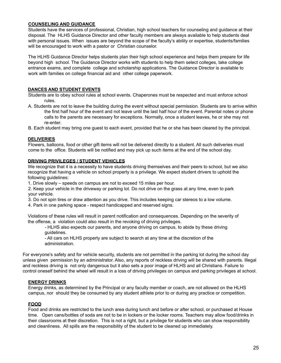#### **COUNSELING AND GUIDANCE**

Students have the services of professional, Christian, high school teachers for counseling and guidance at their disposal. The HLHS Guidance Director and other faculty members are always available to help students deal with personal issues. When issues are beyond the scope of the faculty's ability or expertise, students/families will be encouraged to work with a pastor or Christian counselor.

The HLHS Guidance Director helps students plan their high school experience and helps them prepare for life beyond high school. The Guidance Director works with students to help them select colleges, take college entrance exams, and complete college and scholarship applications. The Guidance Director is available to work with families on college financial aid and other college paperwork.

#### **DANCES AND STUDENT EVENTS**

Students are to obey school rules at school events. Chaperones must be respected and must enforce school rules.

- A. Students are not to leave the building during the event without special permission. Students are to arrive within the first half hour of the event and not leave until the last half hour of the event. Parental notes or phone calls to the parents are necessary for exceptions. Normally, once a student leaves, he or she may not re-enter.
- B. Each student may bring one guest to each event, provided that he or she has been cleared by the principal.

#### **DELIVERIES**

Flowers, balloons, food or other gift items will not be delivered directly to a student. All such deliveries must come to the office. Students will be notified and may pick up such items at the end of the school day.

#### **DRIVING PRIVILEGES / STUDENT VEHICLES**

We recognize that it is a necessity to have students driving themselves and their peers to school, but we also recognize that having a vehicle on school property is a privilege. We expect student drivers to uphold the following guidelines:

1. Drive slowly – speeds on campus are not to exceed 15 miles per hour.

2. Keep your vehicle in the driveway or parking lot. Do not drive on the grass at any time, even to park your vehicle.

3. Do not spin tires or draw attention as you drive. This includes keeping car stereos to a low volume.

4. Park in one parking space - respect handicapped and reserved signs.

Violations of these rules will result in parent notification and consequences. Depending on the severity of the offense, a violation could also result in the revoking of driving privileges.

- HLHS also expects our parents, and anyone driving on campus, to abide by these driving guidelines.

- All cars on HLHS property are subject to search at any time at the discretion of the administration.

For everyone's safety and for vehicle security, students are not permitted in the parking lot during the school day unless given permission by an administrator. Also, any reports of reckless driving will be shared with parents. Illegal and reckless driving is not only dangerous but it also sets a poor image of HLHS and all Christians. Failure to control oneself behind the wheel will result in a loss of driving privileges on campus and parking privileges at school.

#### **ENERGY DRINKS**

Energy drinks, as determined by the Principal or any faculty member or coach, are not allowed on the HLHS campus, nor should they be consumed by any student athlete prior to or during any practice or competition.

#### **FOOD**

Food and drinks are restricted to the lunch area during lunch and before or after school, or purchased at House time. Open cans/bottles of soda are not to be in lockers or the locker rooms. Teachers may allow food/drinks in their classrooms at their discretion. This is not a right, but a privilege for students who can show responsibility and cleanliness. All spills are the responsibility of the student to be cleaned up immediately.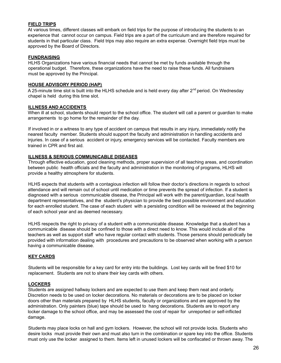#### **FIELD TRIPS**

At various times, different classes will embark on field trips for the purpose of introducing the students to an experience that cannot occur on campus. Field trips are a part of the curriculum and are therefore required for students in that particular class. Field trips may also require an extra expense. Overnight field trips must be approved by the Board of Directors.

#### **FUNDRAISING**

HLHS Organizations have various financial needs that cannot be met by funds available through the operational budget. Therefore, these organizations have the need to raise these funds. All fundraisers must be approved by the Principal.

#### **HOUSE ADVISORY PERIOD (HAP)**

A 25-minute time slot is built into the HLHS schedule and is held every day after 2<sup>nd</sup> period. On Wednesday chapel is held during this time slot.

#### **ILLNESS AND ACCIDENTS**

When ill at school, students should report to the school office. The student will call a parent or guardian to make arrangements to go home for the remainder of the day.

If involved in or a witness to any type of accident on campus that results in any injury, immediately notify the nearest faculty member. Students should support the faculty and administration in handling accidents and injuries. In case of a serious accident or injury, emergency services will be contacted. Faculty members are trained in CPR and first aid.

#### **ILLNESS & SERIOUS COMMUNICABLE DISEASES**

Through effective education, good cleaning methods, proper supervision of all teaching areas, and coordination between public health officials and the faculty and administration in the monitoring of programs, HLHS will provide a healthy atmosphere for students.

HLHS expects that students with a contagious infection will follow their doctor's directions in regards to school attendance and will remain out of school until medication or time prevents the spread of infection. If a student is diagnosed with a serious communicable disease, the Principal will work with the parent/guardian, local health department representatives, and the student's physician to provide the best possible environment and education for each enrolled student. The case of each student with a persisting condition will be reviewed at the beginning of each school year and as deemed necessary.

HLHS respects the right to privacy of a student with a communicable disease. Knowledge that a student has a communicable disease should be confined to those with a direct need to know. This would include all of the teachers as well as support staff who have regular contact with students. Those persons should periodically be provided with information dealing with procedures and precautions to be observed when working with a person having a communicable disease.

#### **KEY CARDS**

Students will be responsible for a key card for entry into the buildings. Lost key cards will be fined \$10 for replacement. Students are not to share their key cards with others.

#### **LOCKERS**

Students are assigned hallway lockers and are expected to use them and keep them neat and orderly. Discretion needs to be used on locker decorations. No materials or decorations are to be placed on locker doors other than materials prepared by HLHS students, faculty or organizations and are approved by the administration. Only painters (blue) tape should be used to hang decorations. Students are to report any locker damage to the school office, and may be assessed the cost of repair for unreported or self-inflicted damage.

Students may place locks on hall and gym lockers. However, the school will not provide locks. Students who desire locks must provide their own and must also turn in the combination or spare key into the office. Students must only use the locker assigned to them. Items left in unused lockers will be confiscated or thrown away. The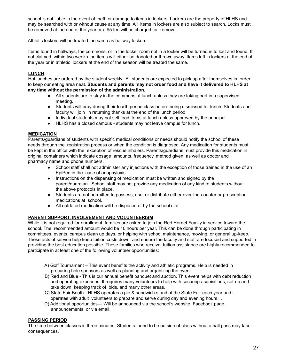school is not liable in the event of theft or damage to items in lockers. Lockers are the property of HLHS and may be searched with or without cause at any time. All items in lockers are also subject to search. Locks must be removed at the end of the year or a \$5 fee will be charged for removal.

Athletic lockers will be treated the same as hallway lockers.

Items found in hallways, the commons, or in the locker room not in a locker will be turned in to lost and found. If not claimed within two weeks the items will either be donated or thrown away. Items left in lockers at the end of the year or in athletic lockers at the end of the season will be treated the same.

#### **LUNCH**

Hot lunches are ordered by the student weekly. All students are expected to pick up after themselves in order to keep our eating area neat. **Students and parents may not order food and have it delivered to HLHS at any time without the permission of the administration.**

- All students are to stay in the commons at lunch unless they are taking part in a supervised meeting.
- Students will pray during their fourth period class before being dismissed for lunch. Students and faculty will join in returning thanks at the end of the lunch period.
- Individual students may not sell food items at lunch unless approved by the principal.
- HLHS has a closed campus students may not leave campus for lunch.

#### **MEDICATION**

Parents/guardians of students with specific medical conditions or needs should notify the school of these needs through the registration process or when the condition is diagnosed. Any medication for students must be kept in the office with the exception of rescue inhalers. Parents/guardians must provide this medication in original containers which indicate dosage amounts, frequency, method given, as well as doctor and pharmacy name and phone numbers.

- School staff shall not administer any injections with the exception of those trained in the use of an EpiPen in the case of anaphylaxis.
- Instructions on the dispensing of medication must be written and signed by the parent/guardian. School staff may not provide any medication of any kind to students without the above protocols in place.
- Students are not permitted to possess, use, or distribute either over-the-counter or prescription medications at school.
- All outdated medication will be disposed of by the school staff.

#### **PARENT SUPPORT, INVOLVEMENT AND VOLUNTEERISM**

While it is not required for enrollment, families are asked to join the Red Hornet Family in service toward the school. The recommended amount would be 10 hours per year. This can be done through participating in committees, events, campus clean up days, or helping with school maintenance, mowing, or general up-keep. These acts of service help keep tuition costs down and ensure the faculty and staff are focused and supported in providing the best education possible. Those families who receive tuition assistance are highly recommended to participate in at least one of the following volunteer opportunities:

- A) Golf Tournament This event benefits the activity and athletic programs. Help is needed in procuring hole sponsors as well as planning and organizing the event.
- B) Red and Blue This is our annual benefit banquet and auction. This event helps with debt reduction and operating expenses. It requires many volunteers to help with securing acquisitions, set-up and take down, keeping track of bids, and many other areas.
- C) State Fair Booth HLHS operates a pie & sandwich stand at the State Fair each year and it operates with adult volunteers to prepare and serve during day and evening hours. .
- D) Additional opportunities— Will be announced via the school's website, Facebook page, announcements, or via email.

#### **PASSING PERIOD**

The time between classes is three minutes. Students found to be outside of class without a hall pass may face consequences.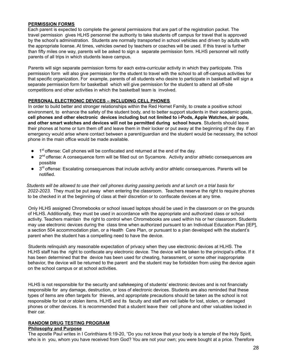#### **PERMISSION FORMS**

Each parent is expected to complete the general permissions that are part of the registration packet. The travel permission gives HLHS personnel the authority to take students off campus for travel that is approved by the school's administration. Students are normally transported in school vehicles and driven by adults with the appropriate license. At times, vehicles owned by teachers or coaches will be used. If this travel is further than fifty miles one way, parents will be asked to sign a separate permission form. HLHS personnel will notify parents of all trips in which students leave campus.

Parents will sign separate permission forms for each extra-curricular activity in which they participate. This permission form will also give permission for the student to travel with the school to all off-campus activities for that specific organization. For example, parents of all students who desire to participate in basketball will sign a separate permission form for basketball which will give permission for the student to attend all off-site competitions and other activities in which the basketball team is involved.

#### **PERSONAL ELECTRONIC DEVICES – INCLUDING CELL PHONES**

In order to build better and stronger relationships within the Red Hornet Family, to create a positive school environment, to enhance the safety of the student body, and to better support students in their academic goals, **cell phones and other electronic devices including but not limited to i-Pods, Apple Watches, air pods, and other smart watches and devices will not be permitted during school hours**. Students should leave their phones at home or turn them off and leave them in their locker or put away at the beginning of the day. If an emergency would arise where contact between a parent/guardian and the student would be necessary, the school phone in the main office would be made available.

- 1<sup>st</sup> offense: Cell phones will be confiscated and returned at the end of the day.
- 2<sup>nd</sup> offense: A consequence form will be filled out on Sycamore. Activity and/or athletic consequences are possible
- 3<sup>rd</sup> offense: Escalating consequences that include activity and/or athletic consequences. Parents will be notified.

Students will be allowed to use their cell phones during passing periods and at lunch on a trial basis for *2022-2023.* They must be put away when entering the classroom. Teachers reserve the right to require phones to be checked in at the beginning of class at their discretion or to confiscate devices at any time.

Only HLHS assigned Chromebooks or school issued laptops should be used in the classroom or on the grounds of HLHS. Additionally, they must be used in accordance with the appropriate and authorized class or school activity. Teachers maintain the right to control when Chromebooks are used within his or her classroom. Students may use electronic devices during the class time when authorized pursuant to an Individual Education Plan [IEP], a section 504 accommodation plan, or a Health Care Plan, or pursuant to a plan developed with the student's parent when the student has a compelling need to have the device.

Students relinquish any reasonable expectation of privacy when they use electronic devices at HLHS. The HLHS staff has the right to confiscate any electronic device. The device will be taken to the principal's office. If it has been determined that the device has been used for cheating, harassment, or some other inappropriate behavior, the device will be returned to the parent and the student may be forbidden from using the device again on the school campus or at school activities.

HLHS is not responsible for the security and safekeeping of students' electronic devices and is not financially responsible for any damage, destruction, or loss of electronic devices. Students are also reminded that these types of items are often targets for thieves, and appropriate precautions should be taken as the school is not responsible for lost or stolen items. HLHS and its faculty and staff are not liable for lost, stolen, or damaged phones or other devices. It is recommended that a student leave their cell phone and other valuables locked in their car.

#### **RANDOM DRUG TESTING PROGRAM**

#### **Philosophy and Purpose**

The apostle Paul writes in I Corinthians 6:19-20, "Do you not know that your body is a temple of the Holy Spirit, who is in you, whom you have received from God? You are not your own; you were bought at a price. Therefore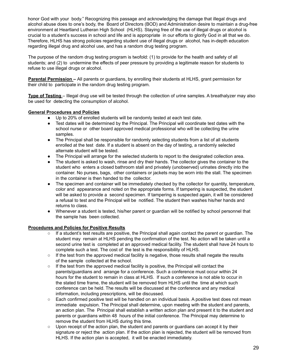honor God with your body." Recognizing this passage and acknowledging the damage that illegal drugs and alcohol abuse does to one's body, the Board of Directors (BOD) and Administration desire to maintain a drug-free environment at Heartland Lutheran High School (HLHS). Staying free of the use of illegal drugs or alcohol is crucial to a student's success in school and life and is appropriate in our efforts to glorify God in all that we do. Therefore, HLHS has strong policies regarding student use of illegal drugs or alcohol, has in-depth education regarding illegal drug and alcohol use, and has a random drug testing program.

The purpose of the random drug testing program is twofold: (1) to provide for the health and safety of all students; and (2) to undermine the effects of peer pressure by providing a legitimate reason for students to refuse to use illegal drugs or alcohol.

**Parental Permission –** All parents or guardians, by enrolling their students at HLHS, grant permission for their child to participate in the random drug testing program.

**Type of Testing** – Illegal drug use will be tested through the collection of urine samples. A breathalyzer may also be used for detecting the consumption of alcohol.

#### **General Procedures and Policies**

- Up to 20% of enrolled students will be randomly tested at each test date.
- Test dates will be determined by the Principal. The Principal will coordinate test dates with the school nurse or other board approved medical professional who will be collecting the urine samples.
- The Principal shall be responsible for randomly selecting students from a list of all students enrolled at the test date. If a student is absent on the day of testing, a randomly selected alternate student will be tested.
- The Principal will arrange for the selected students to report to the designated collection area.
- The student is asked to wash, rinse and dry their hands. The collector gives the container to the student who enters a closed bathroom stall and privately (unobserved) urinates directly into the container. No purses, bags, other containers or jackets may be worn into the stall. The specimen in the container is then handed to the collector.
- The specimen and container will be immediately checked by the collector for quantity, temperature, color and appearance and noted on the appropriate forms. If tampering is suspected, the student will be asked to provide a second specimen. If tampering is suspected again, it will be considered a refusal to test and the Principal will be notified. The student then washes his/her hands and returns to class.
- Whenever a student is tested, his/her parent or guardian will be notified by school personnel that the sample has been collected.

#### **Procedures and Policies for Positive Results**

- $\circ$  If a student's test results are positive, the Principal shall again contact the parent or quardian. The student may remain at HLHS pending the confirmation of the test. No action will be taken until a second urine test is completed at an approved medical facility. The student shall have 24 hours to complete such a test. The cost of the test is the responsibility of HLHS.
- $\circ$  If the test from the approved medical facility is negative, those results shall negate the results of the sample collected at the school.
- $\circ$  If the test from the approved medical facility is positive, the Principal will contact the parents/guardians and arrange for a conference. Such a conference must occur within 24 hours for the student to remain in class at HLHS. If such a conference is not able to occur in the stated time frame, the student will be removed from HLHS until the time at which such conference can be held. The results will be discussed at the conference and any medical information, including prescriptions, will be discussed.
- Each confirmed positive test will be handled on an individual basis. A positive test does not mean immediate expulsion. The Principal shall determine, upon meeting with the student and parents, an action plan. The Principal shall establish a written action plan and present it to the student and parents or guardians within 48 hours of the initial conference. The Principal may determine to remove the student from HLHS during this time.
- Upon receipt of the action plan, the student and parents or quardians can accept it by their signature or reject the action plan. If the action plan is rejected, the student will be removed from HLHS. If the action plan is accepted, it will be enacted immediately.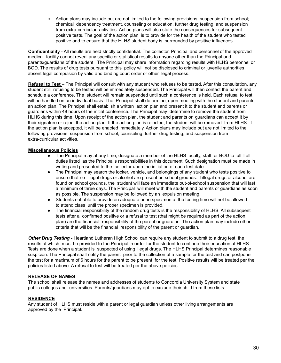○ Action plans may include but are not limited to the following provisions: suspension from school; chemical dependency treatment, counseling or education, further drug testing, and suspension from extra-curricular activities. Action plans will also state the consequences for subsequent positive tests. The goal of the action plan is to provide for the health of the student who tested positive and to ensure that the HLHS student body is surrounded by positive influences.

**Confidentiality** - All results are held strictly confidential. The collector, Principal and personnel of the approved medical facility cannot reveal any specific or statistical results to anyone other than the Principal and parents/guardians of the student. The Principal may share information regarding results with HLHS personnel or BOD. The results of drug tests pursuant to this policy will not be disclosed to criminal or juvenile authorities absent legal compulsion by valid and binding court order or other legal process.

**Refusal to Test** – The Principal will consult with any student who refuses to be tested. After this consultation, any student still refusing to be tested will be immediately suspended. The Principal will then contact the parent and schedule a conference. The student will remain suspended until such a conference is held. Each refusal to test will be handled on an individual basis. The Principal shall determine, upon meeting with the student and parents, an action plan. The Principal shall establish a written action plan and present it to the student and parents or guardians within 48 hours of the initial conference. The Principal may determine to remove the student from HLHS during this time. Upon receipt of the action plan, the student and parents or guardians can accept it by their signature or reject the action plan. If the action plan is rejected, the student will be removed from HLHS. If the action plan is accepted, it will be enacted immediately. Action plans may include but are not limited to the following provisions: suspension from school, counseling, further drug testing, and suspension from extra-curricular activities.

#### **Miscellaneous Policies**

- The Principal may at any time, designate a member of the HLHS faculty, staff, or BOD to fulfill all duties listed as the Principal's responsibilities in this document. Such designation must be made in writing and presented to the collector upon the initiation of each test date.
- The Principal may search the locker, vehicle, and belongings of any student who tests positive to ensure that no illegal drugs or alcohol are present on school grounds. If illegal drugs or alcohol are found on school grounds, the student will face an immediate out-of-school suspension that will last a minimum of three days. The Principal will meet with the student and parents or guardians as soon as possible. The suspension may be followed by an expulsion meeting.
- Students not able to provide an adequate urine specimen at the testing time will not be allowed to attend class until the proper specimen is provided.
- The financial responsibility of the random drug tests is the responsibility of HLHS. All subsequent tests after a confirmed positive or a refusal to test (that might be required as part of the action plan) are the financial responsibility of the parent or guardian. The action plan may include other criteria that will be the financial responsibility of the parent or guardian.

*Other Drug Testing -* Heartland Lutheran High School can require any student to submit to a drug test, the results of which must be provided to the Principal in order for the student to continue their education at HLHS. Tests are done when a student is suspected of using illegal drugs. The HLHS Principal determines reasonable suspicion. The Principal shall notify the parent prior to the collection of a sample for the test and can postpone the test for a maximum of 6 hours for the parent to be present for the test. Positive results will be treated per the policies listed above. A refusal to test will be treated per the above policies.

#### **RELEASE OF NAMES**

The school shall release the names and addresses of students to Concordia University System and state public colleges and universities. Parents/guardians may opt to exclude their child from these lists.

#### **RESIDENCE**

Any student of HLHS must reside with a parent or legal guardian unless other living arrangements are approved by the Principal.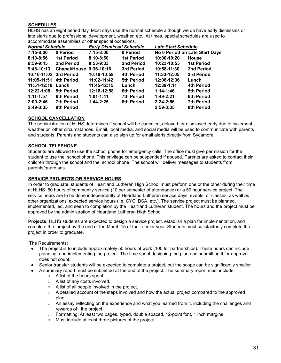#### **SCHEDULES**

HLHS has an eight period day. Most days use the normal schedule although we do have early dismissals or late starts due to professional development, weather, etc. At times, special schedules are used to accommodate assemblies or other special occasions.

| <b>Normal Schedule</b> |                         | <b>Early Dismissal Schedule</b> |                   | <b>Late Start Schedule</b> |                                |  |
|------------------------|-------------------------|---------------------------------|-------------------|----------------------------|--------------------------------|--|
| 7:15-8:00              | 0 Period                | 7:15-8:00                       | 0 Period          |                            | No 0 Period on Late Start Days |  |
| $8:10 - 8:56$          | 1st Period              | $8:10 - 8:50$                   | <b>1st Period</b> | 10:00-10:20                | <b>House</b>                   |  |
| $8:59-9:45$            | 2nd Period              | 8:53-9:33                       | 2nd Period        | 10:23-10:55                | <b>1st Period</b>              |  |
| $9:48-10:13$           | Chapel/House 9:36-10:16 |                                 | 3rd Period        | 10:58-11:30                | 2nd Period                     |  |
| 10:16-11:02 3rd Period |                         | 10:19-10:59                     | <b>4th Period</b> | 11:33-12:05                | 3rd Period                     |  |
| 11:05-11:51            | 4th Period              | 11:02-11:42                     | 5th Period        | 12:08-12:36                | Lunch                          |  |
| 11:51-12:19            | Lunch                   | 11:45-12:15                     | Lunch             | $12:39-1:11$               | 4th Period                     |  |
| 12:22-1:08             | 5th Period              | 12:18-12:58                     | <b>6th Period</b> | $1:14-1:46$                | <b>5th Period</b>              |  |
| $1:11 - 1:57$          | <b>6th Period</b>       | $1:01-1:41$                     | <b>7th Period</b> | $1:49-2:21$                | <b>6th Period</b>              |  |
| $2:00-2:46$            | <b>7th Period</b>       | $1:44-2:25$                     | <b>8th Period</b> | $2:24-2:56$                | <b>7th Period</b>              |  |
| 2:49-3:35              | 8th Period              |                                 |                   | $2:59-3:35$                | 8th Period                     |  |

#### **SCHOOL CANCELLATION**

The administration of HLHS determines if school will be canceled, delayed, or dismissed early due to inclement weather or other circumstances. Email, local media, and social media will be used to communicate with parents and students. Parents and students can also sign up for email alerts directly from Sycamore.

#### **SCHOOL TELEPHONE**

Students are allowed to use the school phone for emergency calls. The office must give permission for the student to use the school phone. This privilege can be suspended if abused. Parents are asked to contact their children through the school and the school phone. The school will deliver messages to students from parents/guardians.

#### **SERVICE PROJECTS OR SERVICE HOURS**

In order to graduate, students of Heartland Lutheran High School must perform one or the other during their time at HLHS: 80 hours of community service (10 per semester of attendance) or a 50 hour service project. The service hours are to be done independently of Heartland Lutheran service days, events, or classes, as well as other organizations' expected service hours (i.e. CYC, BSA, etc.). The service project must be planned, implemented, led, and seen to completion by the Heartland Lutheran student. The hours and the project must be approved by the administration of Heartland Lutheran High School.

**Projects:** HLHS students are expected to design a service project, establish a plan for implementation, and complete the project by the end of the March 15 of their senior year. Students must satisfactorily complete the project in order to graduate.

#### The Requirements:

- The project is to include approximately 50 hours of work (100 for partnerships). These hours can include planning and implementing the project. The time spent designing the plan and submitting it for approval does not count.
- Senior transfer students will be expected to complete a project, but the scope can be significantly smaller.
- A summary report must be submitted at the end of the project. The summary report must include:
	- A list of the hours spent.
	- A list of any costs involved.
	- A list of all people involved in the project.
	- A detailed account of the steps involved and how the actual project compared to the approved plan.
	- An essay reflecting on the experience and what you learned from it, including the challenges and rewards of the project.
	- Formatting: At least two pages, typed, double spaced, 12-point font, 1 inch margins
	- Must include at least three pictures of the project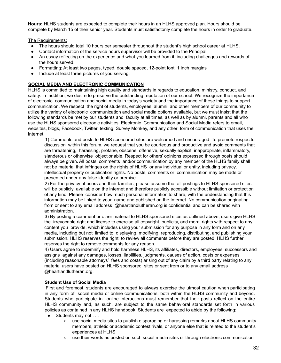**Hours:** HLHS students are expected to complete their hours in an HLHS approved plan. Hours should be complete by March 15 of their senior year. Students must satisfactorily complete the hours in order to graduate.

The Requirements:

- The hours should total 10 hours per semester throughout the student's high school career at HLHS.
- Contact information of the service hours supervisor will be provided to the Principal
- An essay reflecting on the experience and what you learned from it, including challenges and rewards of the hours served.
- Formatting: At least two pages, typed, double spaced, 12-point font, 1 inch margins
- Include at least three pictures of you serving.

#### **SOCIAL MEDIA AND ELECTRONIC COMMUNICATION**

HLHS is committed to maintaining high quality and standards in regards to education, ministry, conduct, and safety. In addition, we desire to preserve the outstanding reputation of our school. We recognize the importance of electronic communication and social media in today's society and the importance of these things to support communication. We respect the right of students, employees, alumni, and other members of our community to utilize the variety of electronic communication and social media options available, but we must insist that the following standards be met by our students and faculty at all times, as well as by alumni, parents and all who use the HLHS sponsored electronic activities. Electronic Communication and Social Media refers to email, websites, blogs, Facebook, Twitter, texting, Survey Monkey, and any other form of communication that uses the Internet.

1) Comments and posts to HLHS sponsored sites are welcomed and encouraged. To promote respectful discussion within this forum, we request that you be courteous and productive and avoid comments that are threatening, harassing, profane, obscene, offensive, sexually explicit, inappropriate, inflammatory, slanderous or otherwise objectionable. Respect for others' opinions expressed through posts should always be given. All posts, comments and/or communication by any member of the HLHS family shall not be material that infringes on the rights of HLHS or any individual or entity, including privacy, intellectual property or publication rights. No posts, comments or communication may be made or presented under any false identity or premise.

2) For the privacy of users and their families, please assume that all postings to HLHS sponsored sites will be publicly available on the internet and therefore publicly accessible without limitation or protection of any kind. Please consider how much personal information to share, with the understanding that this information may be linked to your name and published on the Internet. No communication originating from or sent to any email address @heartlandlutheran.org is confidential and can be shared with administration.

3) By posting a comment or other material to HLHS sponsored sites as outlined above, users give HLHS the irrevocable right and license to exercise all copyright, publicity, and moral rights with respect to any content you provide, which includes using your submission for any purpose in any form and on any media, including but not limited to: displaying, modifying, reproducing, distributing, and publishing your submission. HLHS reserves the right to review all comments before they are posted. HLHS further reserves the right to remove comments for any reason.

4) Users agree to indemnify and hold harmless HLHS, its affiliates, directors, employees, successors and assigns against any damages, losses, liabilities, judgments, causes of action, costs or expenses (including reasonable attorneys' fees and costs) arising out of any claim by a third party relating to any material users have posted on HLHS sponsored sites or sent from or to any email address @heartlandlutheran.org.

#### **Student Use of Social Media**

First and foremost, students are encouraged to always exercise the utmost caution when participating in any form of social media or online communications, both within the HLHS community and beyond. Students who participate in online interactions must remember that their posts reflect on the entire HLHS community and, as such, are subject to the same behavioral standards set forth in various policies as contained in any HLHS handbook. Students are expected to abide by the following:

- Students may not . . .
	- use social media sites to publish disparaging or harassing remarks about HLHS community members, athletic or academic contest rivals, or anyone else that is related to the student's experiences at HLHS.
	- use their words as posted on such social media sites or through electronic communication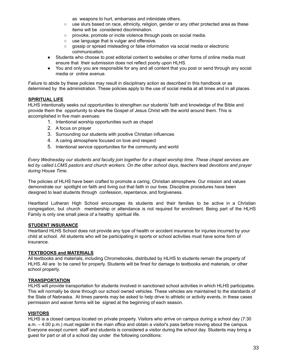as weapons to hurt, embarrass and intimidate others.

- use slurs based on race, ethnicity, religion, gender or any other protected area as these items will be considered discrimination.
- provoke, promote or incite violence through posts on social media.
- use language that is vulgar and offensive.
- gossip or spread misleading or false information via social media or electronic communication.
- Students who choose to post editorial content to websites or other forms of online media must ensure that their submission does not reflect poorly upon HLHS.
- You and only you are responsible for any and all content that you post or send through any social media or online avenue.

Failure to abide by these policies may result in disciplinary action as described in this handbook or as determined by the administration. These policies apply to the use of social media at all times and in all places.

#### **SPIRITUAL LIFE**

HLHS intentionally seeks out opportunities to strengthen our students' faith and knowledge of the Bible and provide them the opportunity to share the Gospel of Jesus Christ with the world around them. This is accomplished in five main avenues:

- 1. Intentional worship opportunities such as chapel
- 2. A focus on prayer
- 3. Surrounding our students with positive Christian influences
- 4. A caring atmosphere focused on love and respect
- 5. Intentional service opportunities for the community and world

Every Wednesday our students and faculty join together for a chapel worship time. These chapel services are led by called LCMS pastors and church workers. On the other school days, teachers lead devotions and prayer *during House Time.*

The policies of HLHS have been crafted to promote a caring, Christian atmosphere. Our mission and values demonstrate our spotlight on faith and living out that faith in our lives. Discipline procedures have been designed to lead students through confession, repentance, and forgiveness.

Heartland Lutheran High School encourages its students and their families to be active in a Christian congregation, but church membership or attendance is not required for enrollment. Being part of the HLHS Family is only one small piece of a healthy spiritual life.

#### **STUDENT INSURANCE**

Heartland HLHS School does not provide any type of health or accident insurance for injuries incurred by your child at school. All students who will be participating in sports or school activities must have some form of insurance.

#### **TEXTBOOKS and MATERIALS**

All textbooks and materials, including Chromebooks, distributed by HLHS to students remain the property of HLHS. All are to be cared for properly. Students will be fined for damage to textbooks and materials, or other school property.

#### **TRANSPORTATION**

HLHS will provide transportation for students involved in sanctioned school activities in which HLHS participates. This will normally be done through our school owned vehicles. These vehicles are maintained to the standards of the State of Nebraska. At times parents may be asked to help drive to athletic or activity events, in these cases permission and waiver forms will be signed at the beginning of each season.

#### **VISITORS**

HLHS is a closed campus located on private property. Visitors who arrive on campus during a school day (7:30 a.m. – 4:00 p.m.) must register in the main office and obtain a visitor's pass before moving about the campus. Everyone except current staff and students is considered a visitor during the school day. Students may bring a guest for part or all of a school day under the following conditions: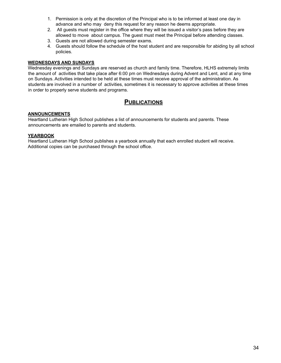- 1. Permission is only at the discretion of the Principal who is to be informed at least one day in advance and who may deny this request for any reason he deems appropriate.
- 2. All guests must register in the office where they will be issued a visitor's pass before they are allowed to move about campus. The guest must meet the Principal before attending classes.
- 3. Guests are not allowed during semester exams.
- 4. Guests should follow the schedule of the host student and are responsible for abiding by all school policies.

#### **WEDNESDAYS AND SUNDAYS**

Wednesday evenings and Sundays are reserved as church and family time. Therefore, HLHS extremely limits the amount of activities that take place after 6:00 pm on Wednesdays during Advent and Lent, and at any time on Sundays. Activities intended to be held at these times must receive approval of the administration. As students are involved in a number of activities, sometimes it is necessary to approve activities at these times in order to properly serve students and programs.

#### **PUBLICATIONS**

#### **ANNOUNCEMENTS**

Heartland Lutheran High School publishes a list of announcements for students and parents. These announcements are emailed to parents and students.

#### **YEARBOOK**

Heartland Lutheran High School publishes a yearbook annually that each enrolled student will receive. Additional copies can be purchased through the school office.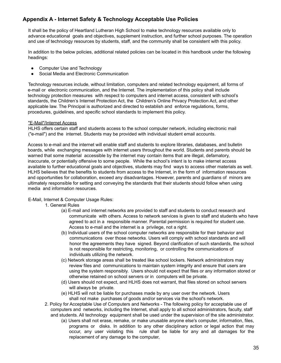#### **Appendix A - Internet Safety & Technology Acceptable Use Policies**

It shall be the policy of Heartland Lutheran High School to make technology resources available only to advance educational goals and objectives, supplement instruction, and further school purposes. The operation and use of technology resources by students, staff, and the community shall be consistent with this policy.

In addition to the below policies, additional related policies can be located in this handbook under the following headings:

- Computer Use and Technology
- Social Media and Electronic Communication

Technology resources include, without limitation, computers and related technology equipment, all forms of e-mail or electronic communication, and the Internet. The implementation of this policy shall include technology protection measures with respect to computers and internet access, consistent with school's standards, the Children's Internet Protection Act, the Children's Online Privacy Protection Act, and other applicable law. The Principal is authorized and directed to establish and enforce regulations, forms, procedures, guidelines, and specific school standards to implement this policy.

#### "E-Mail"/Internet Access

HLHS offers certain staff and students access to the school computer network, including electronic mail ("e-mail") and the internet. Students may be provided with individual student email accounts.

Access to e-mail and the internet will enable staff and students to explore libraries, databases, and bulletin boards, while exchanging messages with internet users throughout the world. Students and parents should be warned that some material accessible by the internet may contain items that are illegal, defamatory, inaccurate, or potentially offensive to some people. While the school's intent is to make internet access available to further educational goals and objectives, students may find ways to access other materials as well. HLHS believes that the benefits to students from access to the Internet, in the form of information resources and opportunities for collaboration, exceed any disadvantages. However, parents and guardians of minors are ultimately responsible for setting and conveying the standards that their students should follow when using media and information resources.

E-Mail, Internet & Computer Usage Rules:

- 1. General Rules
	- (a) E-mail and internet networks are provided to staff and students to conduct research and communicate with others. Access to network services is given to staff and students who have agreed to act in a responsible manner. Parental permission is required for student use. Access to e-mail and the internet is a privilege, not a right.
	- (b) Individual users of the school computer networks are responsible for their behavior and communications over those networks. Users will comply with school standards and will honor the agreements they have signed. Beyond clarification of such standards, the school is not responsible for restricting, monitoring, or controlling the communications of individuals utilizing the network.
	- (c) Network storage areas shall be treated like school lockers. Network administrators may review files and communications to maintain system integrity and ensure that users are using the system responsibly. Users should not expect that files or any information stored or otherwise retained on school servers or in computers will be private.
	- (d) Users should not expect, and HLHS does not warrant, that files stored on school servers will always be private.
	- (e) HLHS will not be liable for purchases made by any user over the network. Users shall not make purchases of goods and/or services via the school's network.
- 2. Policy for Acceptable Use of Computers and Networks The following policy for acceptable use of computers and networks, including the Internet, shall apply to all school administrators, faculty, staff and students. All technology equipment shall be used under the supervision of the site administrator.
	- (a) Users shall not erase, remake, or make unusable anyone else's computer, information, files, programs or disks. In addition to any other disciplinary action or legal action that may occur, any user violating this rule shall be liable for any and all damages for the replacement of any damage to the computer,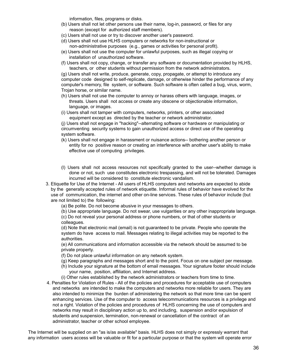information, files, programs or disks.

- (b) Users shall not let other persons use their name, log-in, password, or files for any reason (except for authorized staff members).
- (c) Users shall not use or try to discover another user's password.
- (d) Users shall not use HLHS computers or networks for non-instructional or non-administrative purposes (e.g., games or activities for personal profit).
- (e) Users shall not use the computer for unlawful purposes, such as illegal copying or installation of unauthorized software.
- (f) Users shall not copy, change, or transfer any software or documentation provided by HLHS, teachers, or other students without permission from the network administrators.

(g) Users shall not write, produce, generate, copy, propagate, or attempt to introduce any computer code designed to self-replicate, damage, or otherwise hinder the performance of any computer's memory, file system, or software. Such software is often called a bug, virus, worm, Trojan horse, or similar name.

- (h) Users shall not use the computer to annoy or harass others with language, images, or threats. Users shall not access or create any obscene or objectionable information, language, or images.
- (i) Users shall not tamper with computers, networks, printers, or other associated equipment except as directed by the teacher or network administrator.

(j) Users shall not engage in "hacking"--alternating software or hardware or manipulating or circumventing security systems to gain unauthorized access or direct use of the operating system software.

- (k) Users shall not engage in harassment or nuisance actions-- bothering another person or entity for no positive reason or creating an interference with another user's ability to make effective use of computing privileges.
- (l) Users shall not access resources not specifically granted to the user--whether damage is done or not, such use constitutes electronic trespassing, and will not be tolerated. Damages incurred will be considered to constitute electronic vandalism.
- 3. Etiquette for Use of the Internet All users of HLHS computers and networks are expected to abide by the generally accepted rules of network etiquette. Informal rules of behavior have evolved for the use of communication, the internet and other on-line services. These rules of behavior include (but are not limited to) the following:
	- (a) Be polite. Do not become abusive in your messages to others.
	- (b) Use appropriate language. Do not swear, use vulgarities or any other inappropriate language.

(c) Do not reveal your personal address or phone numbers, or that of other students or colleagues.

(d) Note that electronic mail (email) is not guaranteed to be private. People who operate the system do have access to mail. Messages relating to illegal activities may be reported to the authorities.

(e) All communications and information accessible via the network should be assumed to be private property.

- (f) Do not place unlawful information on any network system.
- (g) Keep paragraphs and messages short and to the point. Focus on one subject per message.
- (h) Include your signature at the bottom of email messages. Your signature footer should include your name, position, affiliation, and Internet address.
- (i) Other rules established by the network administrators or teachers from time to time.
- 4. Penalties for Violation of Rules All of the policies and procedures for acceptable use of computers and networks are intended to make the computers and networks more reliable for users. They are also intended to minimize the burden of administering the network so that more time can be spent enhancing services. Use of the computer to access telecommunications resources is a privilege and not a right. Violation of the policies and procedures of HLHS concerning the use of computers and networks may result in disciplinary action up to, and including, suspension and/or expulsion of students and suspension, termination, non-renewal or cancellation of the contract of an administrator, teacher or other school employee.

The Internet will be supplied on an "as is/as available" basis. HLHS does not simply or expressly warrant that any information users access will be valuable or fit for a particular purpose or that the system will operate error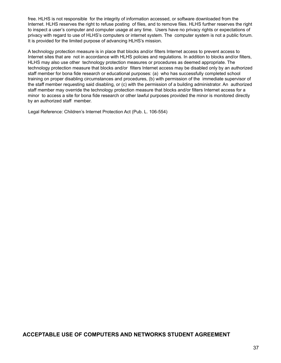free. HLHS is not responsible for the integrity of information accessed, or software downloaded from the Internet. HLHS reserves the right to refuse posting of files, and to remove files. HLHS further reserves the right to inspect a user's computer and computer usage at any time. Users have no privacy rights or expectations of privacy with regard to use of HLHS's computers or internet system. The computer system is not a public forum. It is provided for the limited purpose of advancing HLHS's mission.

A technology protection measure is in place that blocks and/or filters Internet access to prevent access to Internet sites that are not in accordance with HLHS policies and regulations. In addition to blocks and/or filters, HLHS may also use other technology protection measures or procedures as deemed appropriate. The technology protection measure that blocks and/or filters Internet access may be disabled only by an authorized staff member for bona fide research or educational purposes: (a) who has successfully completed school training on proper disabling circumstances and procedures, (b) with permission of the immediate supervisor of the staff member requesting said disabling, or (c) with the permission of a building administrator. An authorized staff member may override the technology protection measure that blocks and/or filters Internet access for a minor to access a site for bona fide research or other lawful purposes provided the minor is monitored directly by an authorized staff member.

Legal Reference: Children's Internet Protection Act (Pub. L. 106-554)

#### **ACCEPTABLE USE OF COMPUTERS AND NETWORKS STUDENT AGREEMENT**